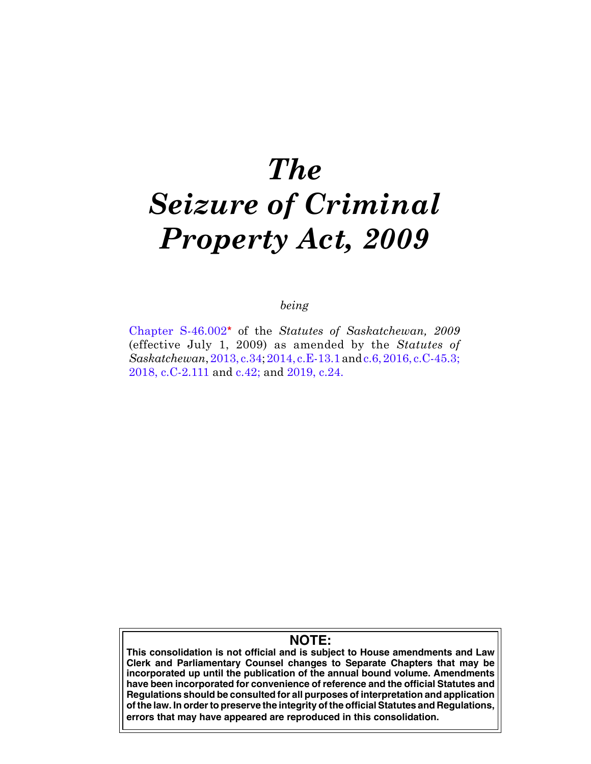# *The Seizure of Criminal Property Act, 2009*

# *being*

[Chapter S-46.002](https://publications.saskatchewan.ca:443/api/v1/products/28091/formats/35183/download)**\*** of the *Statutes of Saskatchewan, 2009* (effective July 1, 2009) as amended by the *Statutes of Saskatchewan*, [2013, c.34](https://publications.saskatchewan.ca:443/api/v1/products/67246/formats/74740/download); [2014, c.E-13.1](https://publications.saskatchewan.ca:443/api/v1/products/70626/formats/78515/download) and [c.6](https://publications.saskatchewan.ca:443/api/v1/products/70099/formats/77937/download),[2016, c.C-45.3](https://publications.saskatchewan.ca:443/api/v1/products/81107/formats/93059/download); [2018, c.C-2.111](https://publications.saskatchewan.ca:443/api/v1/products/90574/formats/107491/download) and [c.42;](https://publications.saskatchewan.ca:443/api/v1/products/90531/formats/107441/download) and [2019, c.24.](https://publications.saskatchewan.ca:443/api/v1/products/101568/formats/112301/download)

# **NOTE:**

**This consolidation is not official and is subject to House amendments and Law Clerk and Parliamentary Counsel changes to Separate Chapters that may be incorporated up until the publication of the annual bound volume. Amendments have been incorporated for convenience of reference and the official Statutes and Regulations should be consulted for all purposes of interpretation and application of the law. In order to preserve the integrity of the official Statutes and Regulations, errors that may have appeared are reproduced in this consolidation.**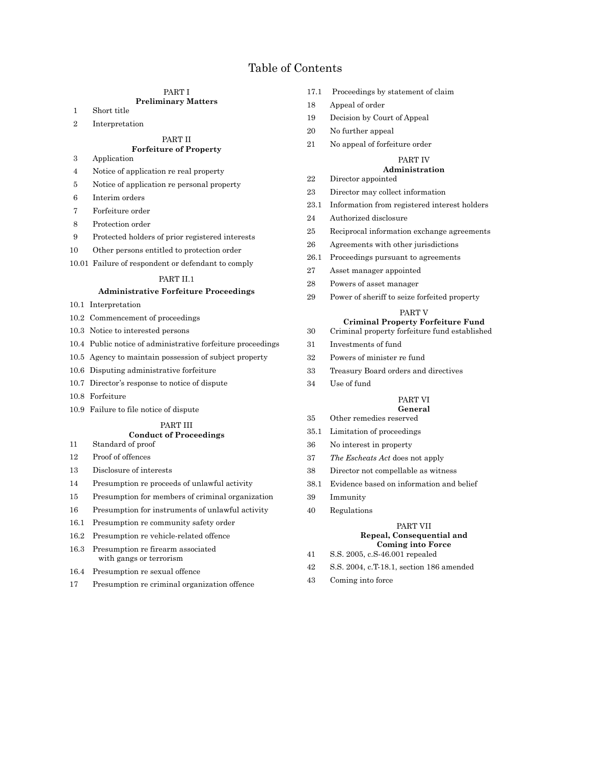# Table of Contents

# PART I

# **Preliminary Matters**

- 1 Short title
- 2 Interpretation

#### PART II **Forfeiture of Property**

- 3 Application
- 4 Notice of application re real property
- 5 Notice of application re personal property
- 6 Interim orders
- 7 Forfeiture order
- 8 Protection order
- 9 Protected holders of prior registered interests
- 10 Other persons entitled to protection order
- 10.01 Failure of respondent or defendant to comply

#### PART II.1

## **Administrative Forfeiture Proceedings**

- 10.1 Interpretation
- 10.2 Commencement of proceedings
- 10.3 Notice to interested persons
- 10.4 Public notice of administrative forfeiture proceedings
- 10.5 Agency to maintain possession of subject property
- 10.6 Disputing administrative forfeiture
- 10.7 Director's response to notice of dispute
- 10.8 Forfeiture
- 10.9 Failure to file notice of dispute

# PART III

# **Conduct of Proceedings**

- 11 Standard of proof
- 12 Proof of offences
- 13 Disclosure of interests
- 14 Presumption re proceeds of unlawful activity
- 15 Presumption for members of criminal organization
- 16 Presumption for instruments of unlawful activity
- 16.1 Presumption re community safety order
- 16.2 Presumption re vehicle-related offence
- 16.3 Presumption re firearm associated with gangs or terrorism
- 16.4 Presumption re sexual offence
- 17 Presumption re criminal organization offence
- 17.1 Proceedings by statement of claim
- 18 Appeal of order
- 19 Decision by Court of Appeal
- 20 No further appeal
- 21 No appeal of forfeiture order

# PART IV

# **Administration**

- 22 Director appointed
- 23 Director may collect information
- 23.1 Information from registered interest holders
- 24 Authorized disclosure
- 25 Reciprocal information exchange agreements
- 26 Agreements with other jurisdictions
- 26.1 Proceedings pursuant to agreements
- 27 Asset manager appointed
- 28 Powers of asset manager
- 29 Power of sheriff to seize forfeited property

#### PART V

# **Criminal Property Forfeiture Fund**

- 30 Criminal property forfeiture fund established
- 31 Investments of fund
- 32 Powers of minister re fund
- 33 Treasury Board orders and directives
- 34 Use of fund

#### PART VI **General**

- 35 Other remedies reserved
- 35.1 Limitation of proceedings
- 36 No interest in property
- 37 *The Escheats Act* does not apply
- 38 Director not compellable as witness
- 38.1 Evidence based on information and belief
- 39 Immunity
- 40 Regulations

#### PART VII **Repeal, Consequential and Coming into Force**

- 41 S.S. 2005, c.S-46.001 repealed
- 42 S.S. 2004, c.T-18.1, section 186 amended
- 43 Coming into force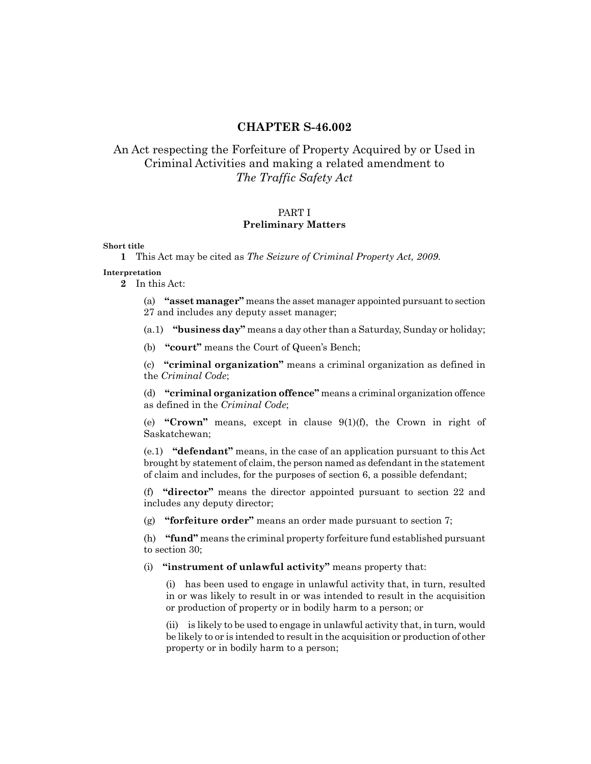# **CHAPTER S-46.002**

# An Act respecting the Forfeiture of Property Acquired by or Used in Criminal Activities and making a related amendment to *The Traffic Safety Act*

# PART I

# **Preliminary Matters**

**Short title**

**1** This Act may be cited as *The Seizure of Criminal Property Act, 2009*.

# **Interpretation**

**2** In this Act:

(a) **"asset manager"** means the asset manager appointed pursuant to section 27 and includes any deputy asset manager;

(a.1) **"business day"** means a day other than a Saturday, Sunday or holiday;

(b) **"court"** means the Court of Queen's Bench;

(c) **"criminal organization"** means a criminal organization as defined in the *Criminal Code*;

(d) **"criminal organization offence"** means a criminal organization offence as defined in the *Criminal Code*;

(e) **"Crown"** means, except in clause 9(1)(f), the Crown in right of Saskatchewan;

(e.1) **"defendant"** means, in the case of an application pursuant to this Act brought by statement of claim, the person named as defendant in the statement of claim and includes, for the purposes of section 6, a possible defendant;

(f) **"director"** means the director appointed pursuant to section 22 and includes any deputy director;

(g) **"forfeiture order"** means an order made pursuant to section 7;

(h) **"fund"** means the criminal property forfeiture fund established pursuant to section 30;

(i) **"instrument of unlawful activity"** means property that:

(i) has been used to engage in unlawful activity that, in turn, resulted in or was likely to result in or was intended to result in the acquisition or production of property or in bodily harm to a person; or

(ii) is likely to be used to engage in unlawful activity that, in turn, would be likely to or is intended to result in the acquisition or production of other property or in bodily harm to a person;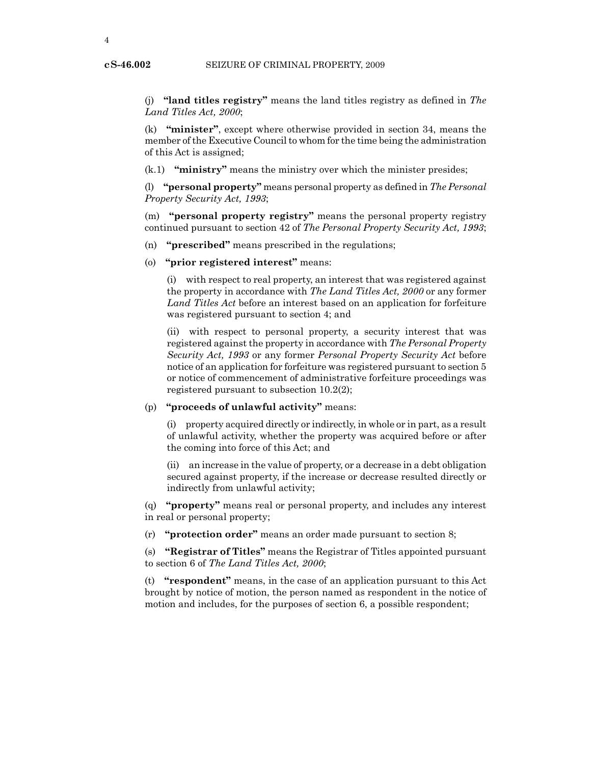(j) **"land titles registry"** means the land titles registry as defined in *The Land Titles Act, 2000*;

(k) **"minister"**, except where otherwise provided in section 34, means the member of the Executive Council to whom for the time being the administration of this Act is assigned;

(k.1) **"ministry"** means the ministry over which the minister presides;

(l) **"personal property"** means personal property as defined in *The Personal Property Security Act, 1993*;

(m) **"personal property registry"** means the personal property registry continued pursuant to section 42 of *The Personal Property Security Act, 1993*;

- (n) **"prescribed"** means prescribed in the regulations;
- (o) **"prior registered interest"** means:

(i) with respect to real property, an interest that was registered against the property in accordance with *The Land Titles Act, 2000* or any former *Land Titles Act* before an interest based on an application for forfeiture was registered pursuant to section 4; and

(ii) with respect to personal property, a security interest that was registered against the property in accordance with *The Personal Property Security Act, 1993* or any former *Personal Property Security Act* before notice of an application for forfeiture was registered pursuant to section 5 or notice of commencement of administrative forfeiture proceedings was registered pursuant to subsection 10.2(2);

(p) **"proceeds of unlawful activity"** means:

(i) property acquired directly or indirectly, in whole or in part, as a result of unlawful activity, whether the property was acquired before or after the coming into force of this Act; and

(ii) an increase in the value of property, or a decrease in a debt obligation secured against property, if the increase or decrease resulted directly or indirectly from unlawful activity;

(q) **"property"** means real or personal property, and includes any interest in real or personal property;

(r) **"protection order"** means an order made pursuant to section 8;

(s) **"Registrar of Titles"** means the Registrar of Titles appointed pursuant to section 6 of *The Land Titles Act, 2000*;

(t) **"respondent"** means, in the case of an application pursuant to this Act brought by notice of motion, the person named as respondent in the notice of motion and includes, for the purposes of section 6, a possible respondent;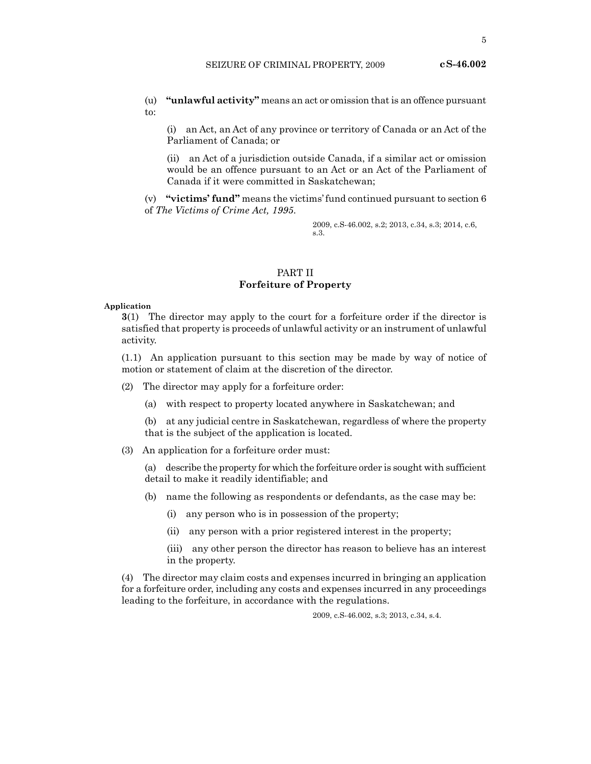(u) **"unlawful activity"** means an act or omission that is an offence pursuant to:

(i) an Act, an Act of any province or territory of Canada or an Act of the Parliament of Canada; or

(ii) an Act of a jurisdiction outside Canada, if a similar act or omission would be an offence pursuant to an Act or an Act of the Parliament of Canada if it were committed in Saskatchewan;

(v) **"victims' fund"** means the victims' fund continued pursuant to section 6 of *The Victims of Crime Act, 1995*.

> 2009, c.S-46.002, s.2; 2013, c.34, s.3; 2014, c.6, s.3.

# PART II **Forfeiture of Property**

## **Application**

**3**(1) The director may apply to the court for a forfeiture order if the director is satisfied that property is proceeds of unlawful activity or an instrument of unlawful activity.

(1.1) An application pursuant to this section may be made by way of notice of motion or statement of claim at the discretion of the director.

(2) The director may apply for a forfeiture order:

(a) with respect to property located anywhere in Saskatchewan; and

(b) at any judicial centre in Saskatchewan, regardless of where the property that is the subject of the application is located.

(3) An application for a forfeiture order must:

(a) describe the property for which the forfeiture order is sought with sufficient detail to make it readily identifiable; and

- (b) name the following as respondents or defendants, as the case may be:
	- (i) any person who is in possession of the property;
	- (ii) any person with a prior registered interest in the property;

(iii) any other person the director has reason to believe has an interest in the property.

(4) The director may claim costs and expenses incurred in bringing an application for a forfeiture order, including any costs and expenses incurred in any proceedings leading to the forfeiture, in accordance with the regulations.

2009, c.S-46.002, s.3; 2013, c.34, s.4.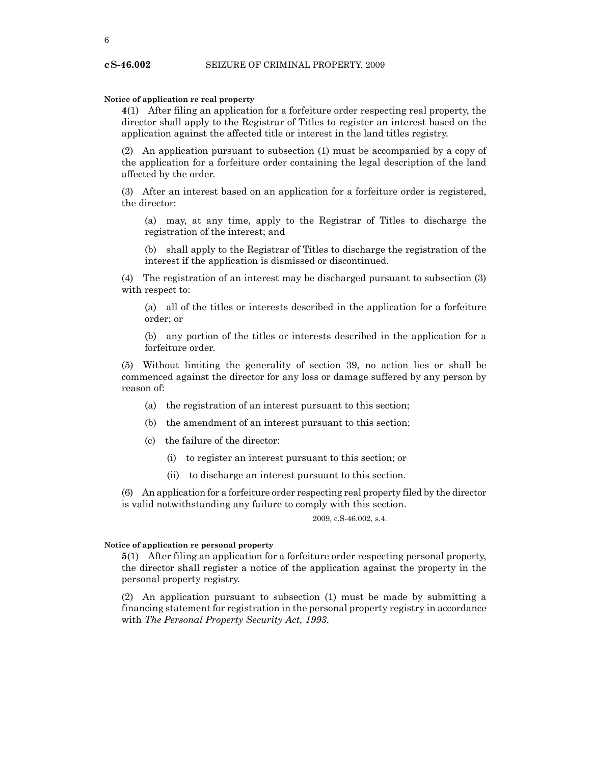# **Notice of application re real property**

**4**(1) After filing an application for a forfeiture order respecting real property, the director shall apply to the Registrar of Titles to register an interest based on the application against the affected title or interest in the land titles registry.

(2) An application pursuant to subsection (1) must be accompanied by a copy of the application for a forfeiture order containing the legal description of the land affected by the order.

(3) After an interest based on an application for a forfeiture order is registered, the director:

(a) may, at any time, apply to the Registrar of Titles to discharge the registration of the interest; and

(b) shall apply to the Registrar of Titles to discharge the registration of the interest if the application is dismissed or discontinued.

(4) The registration of an interest may be discharged pursuant to subsection (3) with respect to:

(a) all of the titles or interests described in the application for a forfeiture order; or

(b) any portion of the titles or interests described in the application for a forfeiture order.

(5) Without limiting the generality of section 39, no action lies or shall be commenced against the director for any loss or damage suffered by any person by reason of:

- (a) the registration of an interest pursuant to this section;
- (b) the amendment of an interest pursuant to this section;
- (c) the failure of the director:
	- (i) to register an interest pursuant to this section; or
	- (ii) to discharge an interest pursuant to this section.

(6) An application for a forfeiture order respecting real property filed by the director is valid notwithstanding any failure to comply with this section.

2009, c.S-46.002, s.4.

# **Notice of application re personal property**

**5**(1) After filing an application for a forfeiture order respecting personal property, the director shall register a notice of the application against the property in the personal property registry.

(2) An application pursuant to subsection (1) must be made by submitting a financing statement for registration in the personal property registry in accordance with *The Personal Property Security Act, 1993*.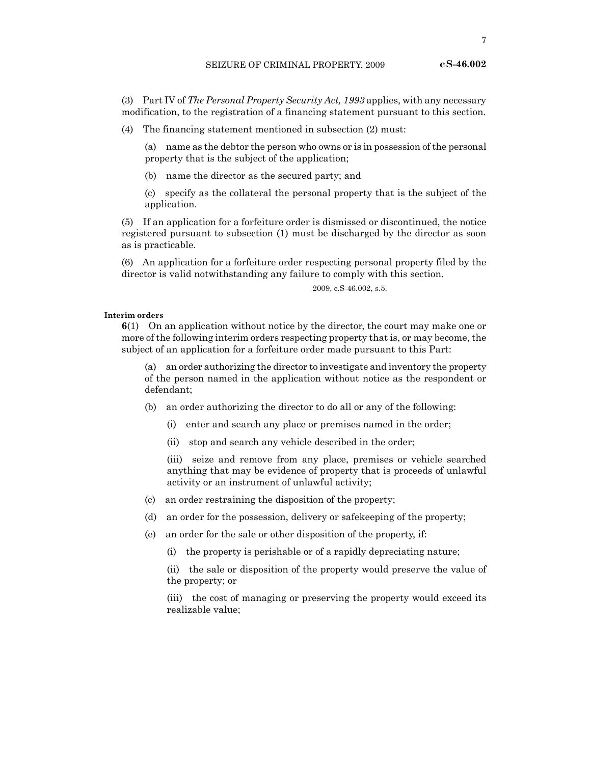(3) Part IV of *The Personal Property Security Act, 1993* applies, with any necessary modification, to the registration of a financing statement pursuant to this section.

(4) The financing statement mentioned in subsection (2) must:

(a) name as the debtor the person who owns or is in possession of the personal property that is the subject of the application;

(b) name the director as the secured party; and

(c) specify as the collateral the personal property that is the subject of the application.

(5) If an application for a forfeiture order is dismissed or discontinued, the notice registered pursuant to subsection (1) must be discharged by the director as soon as is practicable.

(6) An application for a forfeiture order respecting personal property filed by the director is valid notwithstanding any failure to comply with this section.

2009, c.S-46.002, s.5.

#### **Interim orders**

**6**(1) On an application without notice by the director, the court may make one or more of the following interim orders respecting property that is, or may become, the subject of an application for a forfeiture order made pursuant to this Part:

(a) an order authorizing the director to investigate and inventory the property of the person named in the application without notice as the respondent or defendant;

(b) an order authorizing the director to do all or any of the following:

- (i) enter and search any place or premises named in the order;
- (ii) stop and search any vehicle described in the order;

(iii) seize and remove from any place, premises or vehicle searched anything that may be evidence of property that is proceeds of unlawful activity or an instrument of unlawful activity;

- (c) an order restraining the disposition of the property;
- (d) an order for the possession, delivery or safekeeping of the property;
- (e) an order for the sale or other disposition of the property, if:
	- (i) the property is perishable or of a rapidly depreciating nature;

(ii) the sale or disposition of the property would preserve the value of the property; or

(iii) the cost of managing or preserving the property would exceed its realizable value;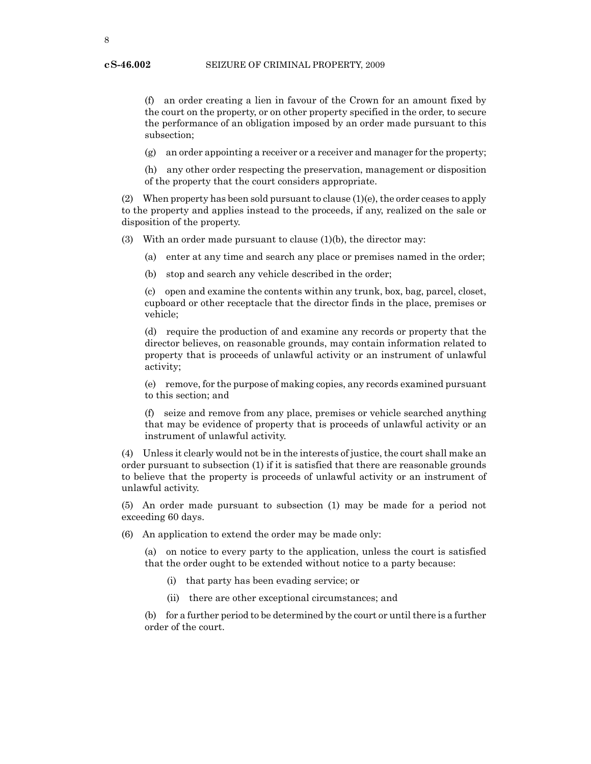(f) an order creating a lien in favour of the Crown for an amount fixed by the court on the property, or on other property specified in the order, to secure the performance of an obligation imposed by an order made pursuant to this subsection;

(g) an order appointing a receiver or a receiver and manager for the property;

(h) any other order respecting the preservation, management or disposition of the property that the court considers appropriate.

(2) When property has been sold pursuant to clause (1)(e), the order ceases to apply to the property and applies instead to the proceeds, if any, realized on the sale or disposition of the property.

(3) With an order made pursuant to clause (1)(b), the director may:

- (a) enter at any time and search any place or premises named in the order;
- (b) stop and search any vehicle described in the order;

(c) open and examine the contents within any trunk, box, bag, parcel, closet, cupboard or other receptacle that the director finds in the place, premises or vehicle;

(d) require the production of and examine any records or property that the director believes, on reasonable grounds, may contain information related to property that is proceeds of unlawful activity or an instrument of unlawful activity;

(e) remove, for the purpose of making copies, any records examined pursuant to this section; and

(f) seize and remove from any place, premises or vehicle searched anything that may be evidence of property that is proceeds of unlawful activity or an instrument of unlawful activity.

(4) Unless it clearly would not be in the interests of justice, the court shall make an order pursuant to subsection (1) if it is satisfied that there are reasonable grounds to believe that the property is proceeds of unlawful activity or an instrument of unlawful activity.

(5) An order made pursuant to subsection (1) may be made for a period not exceeding 60 days.

(6) An application to extend the order may be made only:

(a) on notice to every party to the application, unless the court is satisfied that the order ought to be extended without notice to a party because:

- (i) that party has been evading service; or
- (ii) there are other exceptional circumstances; and

(b) for a further period to be determined by the court or until there is a further order of the court.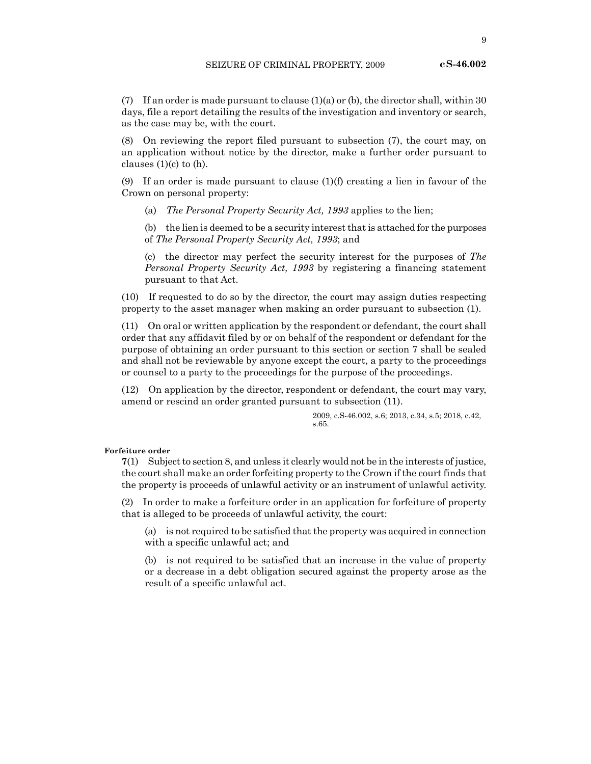(7) If an order is made pursuant to clause (1)(a) or (b), the director shall, within 30 days, file a report detailing the results of the investigation and inventory or search, as the case may be, with the court.

(8) On reviewing the report filed pursuant to subsection (7), the court may, on an application without notice by the director, make a further order pursuant to clauses  $(1)(c)$  to  $(h)$ .

(9) If an order is made pursuant to clause  $(1)(f)$  creating a lien in favour of the Crown on personal property:

(a) *The Personal Property Security Act, 1993* applies to the lien;

(b) the lien is deemed to be a security interest that is attached for the purposes of *The Personal Property Security Act, 1993*; and

(c) the director may perfect the security interest for the purposes of *The Personal Property Security Act, 1993* by registering a financing statement pursuant to that Act.

(10) If requested to do so by the director, the court may assign duties respecting property to the asset manager when making an order pursuant to subsection (1).

(11) On oral or written application by the respondent or defendant, the court shall order that any affidavit filed by or on behalf of the respondent or defendant for the purpose of obtaining an order pursuant to this section or section 7 shall be sealed and shall not be reviewable by anyone except the court, a party to the proceedings or counsel to a party to the proceedings for the purpose of the proceedings.

(12) On application by the director, respondent or defendant, the court may vary, amend or rescind an order granted pursuant to subsection (11).

> 2009, c.S-46.002, s.6; 2013, c.34, s.5; 2018, c.42, s.65.

# **Forfeiture order**

**7**(1) Subject to section 8, and unless it clearly would not be in the interests of justice, the court shall make an order forfeiting property to the Crown if the court finds that the property is proceeds of unlawful activity or an instrument of unlawful activity.

(2) In order to make a forfeiture order in an application for forfeiture of property that is alleged to be proceeds of unlawful activity, the court:

(a) is not required to be satisfied that the property was acquired in connection with a specific unlawful act; and

(b) is not required to be satisfied that an increase in the value of property or a decrease in a debt obligation secured against the property arose as the result of a specific unlawful act.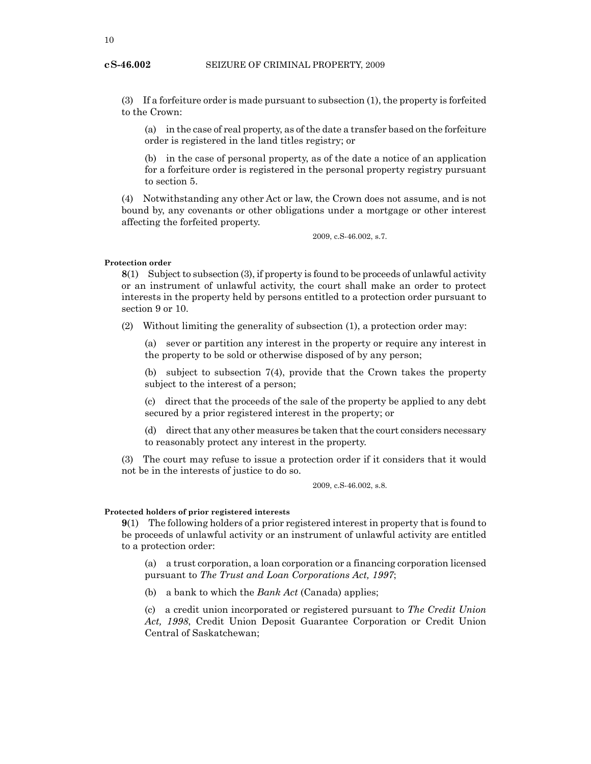# SEIZURE OF CRIMINAL PROPERTY, 2009

(3) If a forfeiture order is made pursuant to subsection (1), the property is forfeited to the Crown:

(a) in the case of real property, as of the date a transfer based on the forfeiture order is registered in the land titles registry; or

(b) in the case of personal property, as of the date a notice of an application for a forfeiture order is registered in the personal property registry pursuant to section 5.

(4) Notwithstanding any other Act or law, the Crown does not assume, and is not bound by, any covenants or other obligations under a mortgage or other interest affecting the forfeited property.

2009, c.S-46.002, s.7.

## **Protection order**

**8**(1) Subject to subsection (3), if property is found to be proceeds of unlawful activity or an instrument of unlawful activity, the court shall make an order to protect interests in the property held by persons entitled to a protection order pursuant to section 9 or 10.

(2) Without limiting the generality of subsection (1), a protection order may:

(a) sever or partition any interest in the property or require any interest in the property to be sold or otherwise disposed of by any person;

(b) subject to subsection 7(4), provide that the Crown takes the property subject to the interest of a person;

(c) direct that the proceeds of the sale of the property be applied to any debt secured by a prior registered interest in the property; or

(d) direct that any other measures be taken that the court considers necessary to reasonably protect any interest in the property.

(3) The court may refuse to issue a protection order if it considers that it would not be in the interests of justice to do so.

2009, c.S-46.002, s.8.

# **Protected holders of prior registered interests**

**9**(1) The following holders of a prior registered interest in property that is found to be proceeds of unlawful activity or an instrument of unlawful activity are entitled to a protection order:

(a) a trust corporation, a loan corporation or a financing corporation licensed pursuant to *The Trust and Loan Corporations Act, 1997*;

(b) a bank to which the *Bank Act* (Canada) applies;

(c) a credit union incorporated or registered pursuant to *The Credit Union Act, 1998*, Credit Union Deposit Guarantee Corporation or Credit Union Central of Saskatchewan;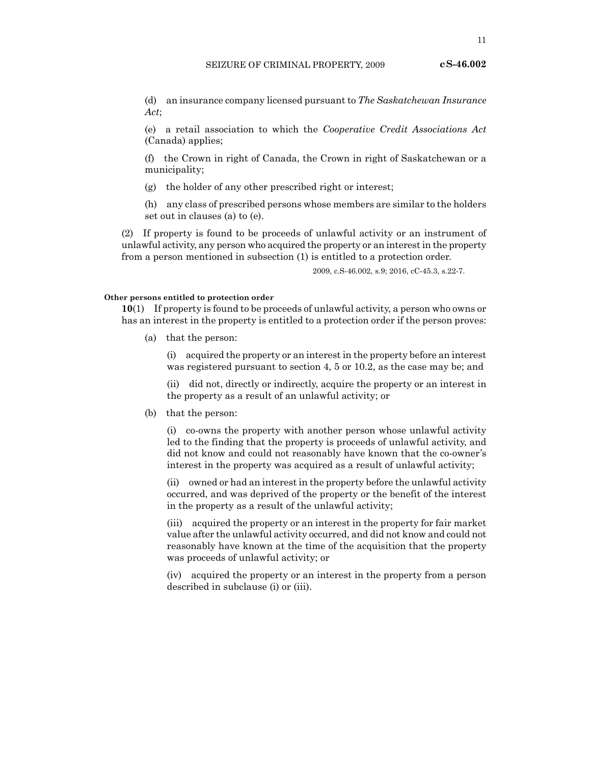(d) an insurance company licensed pursuant to *The Saskatchewan Insurance Act*;

(e) a retail association to which the *Cooperative Credit Associations Act* (Canada) applies;

(f) the Crown in right of Canada, the Crown in right of Saskatchewan or a municipality;

(g) the holder of any other prescribed right or interest;

(h) any class of prescribed persons whose members are similar to the holders set out in clauses (a) to (e).

(2) If property is found to be proceeds of unlawful activity or an instrument of unlawful activity, any person who acquired the property or an interest in the property from a person mentioned in subsection (1) is entitled to a protection order.

2009, c.S-46.002, s.9; 2016, cC-45.3, s.22-7.

#### **Other persons entitled to protection order**

**10**(1) If property is found to be proceeds of unlawful activity, a person who owns or has an interest in the property is entitled to a protection order if the person proves:

(a) that the person:

(i) acquired the property or an interest in the property before an interest was registered pursuant to section 4, 5 or 10.2, as the case may be; and

(ii) did not, directly or indirectly, acquire the property or an interest in the property as a result of an unlawful activity; or

(b) that the person:

(i) co-owns the property with another person whose unlawful activity led to the finding that the property is proceeds of unlawful activity, and did not know and could not reasonably have known that the co-owner's interest in the property was acquired as a result of unlawful activity;

(ii) owned or had an interest in the property before the unlawful activity occurred, and was deprived of the property or the benefit of the interest in the property as a result of the unlawful activity;

(iii) acquired the property or an interest in the property for fair market value after the unlawful activity occurred, and did not know and could not reasonably have known at the time of the acquisition that the property was proceeds of unlawful activity; or

(iv) acquired the property or an interest in the property from a person described in subclause (i) or (iii).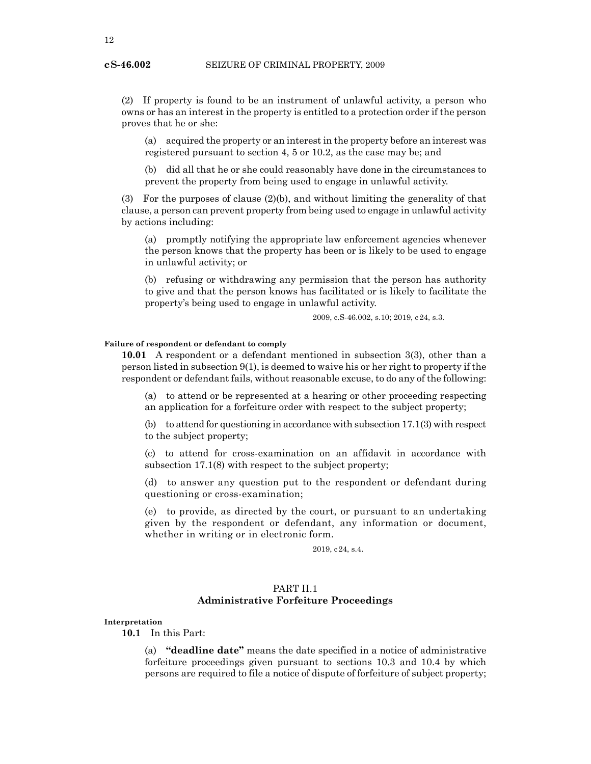(2) If property is found to be an instrument of unlawful activity, a person who owns or has an interest in the property is entitled to a protection order if the person proves that he or she:

(a) acquired the property or an interest in the property before an interest was registered pursuant to section 4, 5 or 10.2, as the case may be; and

(b) did all that he or she could reasonably have done in the circumstances to prevent the property from being used to engage in unlawful activity.

(3) For the purposes of clause (2)(b), and without limiting the generality of that clause, a person can prevent property from being used to engage in unlawful activity by actions including:

(a) promptly notifying the appropriate law enforcement agencies whenever the person knows that the property has been or is likely to be used to engage in unlawful activity; or

(b) refusing or withdrawing any permission that the person has authority to give and that the person knows has facilitated or is likely to facilitate the property's being used to engage in unlawful activity.

2009, c.S-46.002, s.10; 2019, c24, s.3.

# **Failure of respondent or defendant to comply**

**10.01** A respondent or a defendant mentioned in subsection 3(3), other than a person listed in subsection 9(1), is deemed to waive his or her right to property if the respondent or defendant fails, without reasonable excuse, to do any of the following:

(a) to attend or be represented at a hearing or other proceeding respecting an application for a forfeiture order with respect to the subject property;

(b) to attend for questioning in accordance with subsection 17.1(3) with respect to the subject property;

(c) to attend for cross-examination on an affidavit in accordance with subsection 17.1(8) with respect to the subject property;

(d) to answer any question put to the respondent or defendant during questioning or cross-examination;

(e) to provide, as directed by the court, or pursuant to an undertaking given by the respondent or defendant, any information or document, whether in writing or in electronic form.

2019, c24, s.4.

# PART II.1 **Administrative Forfeiture Proceedings**

**Interpretation**

**10.1** In this Part:

(a) **"deadline date"** means the date specified in a notice of administrative forfeiture proceedings given pursuant to sections 10.3 and 10.4 by which persons are required to file a notice of dispute of forfeiture of subject property;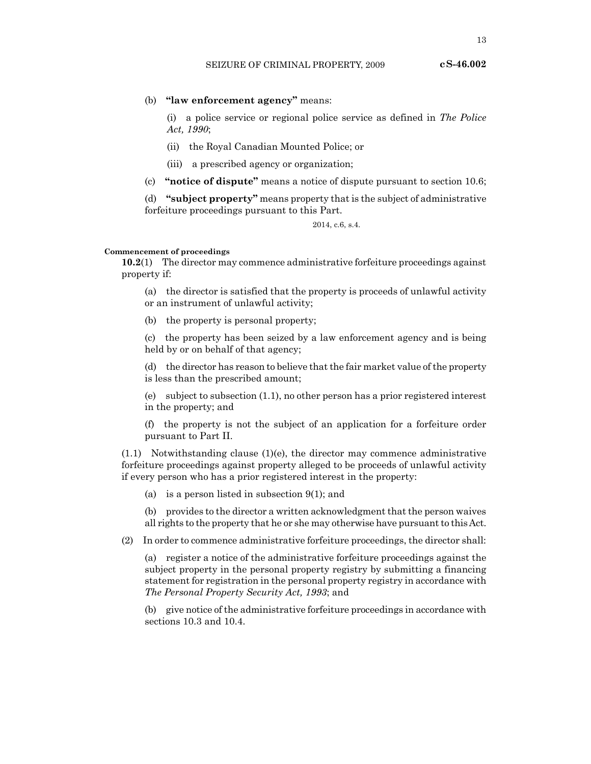13

# (b) **"law enforcement agency"** means:

(i) a police service or regional police service as defined in *The Police Act, 1990*;

- (ii) the Royal Canadian Mounted Police; or
- (iii) a prescribed agency or organization;
- (c) **"notice of dispute"** means a notice of dispute pursuant to section 10.6;

(d) **"subject property"** means property that is the subject of administrative forfeiture proceedings pursuant to this Part.

2014, c.6, s.4.

## **Commencement of proceedings**

**10.2**(1) The director may commence administrative forfeiture proceedings against property if:

(a) the director is satisfied that the property is proceeds of unlawful activity or an instrument of unlawful activity;

(b) the property is personal property;

(c) the property has been seized by a law enforcement agency and is being held by or on behalf of that agency;

(d) the director has reason to believe that the fair market value of the property is less than the prescribed amount;

(e) subject to subsection (1.1), no other person has a prior registered interest in the property; and

(f) the property is not the subject of an application for a forfeiture order pursuant to Part II.

 $(1.1)$  Notwithstanding clause  $(1)(e)$ , the director may commence administrative forfeiture proceedings against property alleged to be proceeds of unlawful activity if every person who has a prior registered interest in the property:

(a) is a person listed in subsection 9(1); and

(b) provides to the director a written acknowledgment that the person waives all rights to the property that he or she may otherwise have pursuant to this Act.

(2) In order to commence administrative forfeiture proceedings, the director shall:

(a) register a notice of the administrative forfeiture proceedings against the subject property in the personal property registry by submitting a financing statement for registration in the personal property registry in accordance with *The Personal Property Security Act, 1993*; and

(b) give notice of the administrative forfeiture proceedings in accordance with sections 10.3 and 10.4.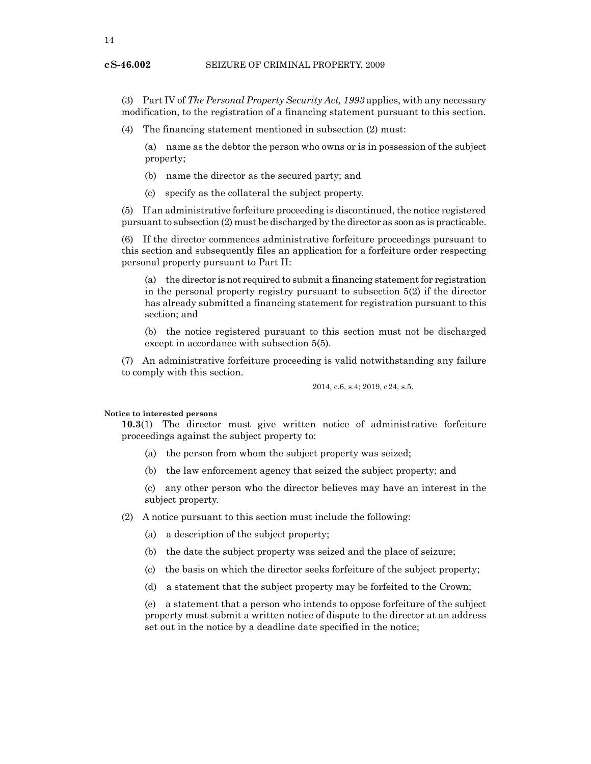# SEIZURE OF CRIMINAL PROPERTY, 2009

(3) Part IV of *The Personal Property Security Act, 1993* applies, with any necessary modification, to the registration of a financing statement pursuant to this section.

(4) The financing statement mentioned in subsection (2) must:

(a) name as the debtor the person who owns or is in possession of the subject property;

- (b) name the director as the secured party; and
- (c) specify as the collateral the subject property.

(5) If an administrative forfeiture proceeding is discontinued, the notice registered pursuant to subsection (2) must be discharged by the director as soon as is practicable.

(6) If the director commences administrative forfeiture proceedings pursuant to this section and subsequently files an application for a forfeiture order respecting personal property pursuant to Part II:

(a) the director is not required to submit a financing statement for registration in the personal property registry pursuant to subsection 5(2) if the director has already submitted a financing statement for registration pursuant to this section; and

(b) the notice registered pursuant to this section must not be discharged except in accordance with subsection 5(5).

(7) An administrative forfeiture proceeding is valid notwithstanding any failure to comply with this section.

2014, c.6, s.4; 2019, c24, s.5.

# **Notice to interested persons**

**10.3**(1) The director must give written notice of administrative forfeiture proceedings against the subject property to:

- (a) the person from whom the subject property was seized;
- (b) the law enforcement agency that seized the subject property; and

(c) any other person who the director believes may have an interest in the subject property.

(2) A notice pursuant to this section must include the following:

- (a) a description of the subject property;
- (b) the date the subject property was seized and the place of seizure;
- (c) the basis on which the director seeks forfeiture of the subject property;
- (d) a statement that the subject property may be forfeited to the Crown;

(e) a statement that a person who intends to oppose forfeiture of the subject property must submit a written notice of dispute to the director at an address set out in the notice by a deadline date specified in the notice;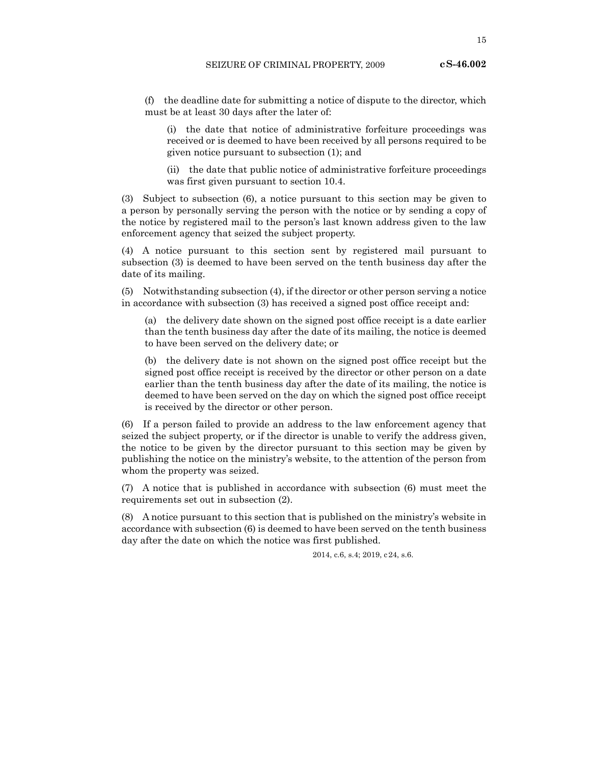15

(f) the deadline date for submitting a notice of dispute to the director, which must be at least 30 days after the later of:

(i) the date that notice of administrative forfeiture proceedings was received or is deemed to have been received by all persons required to be given notice pursuant to subsection (1); and

(ii) the date that public notice of administrative forfeiture proceedings was first given pursuant to section 10.4.

(3) Subject to subsection (6), a notice pursuant to this section may be given to a person by personally serving the person with the notice or by sending a copy of the notice by registered mail to the person's last known address given to the law enforcement agency that seized the subject property.

(4) A notice pursuant to this section sent by registered mail pursuant to subsection (3) is deemed to have been served on the tenth business day after the date of its mailing.

(5) Notwithstanding subsection (4), if the director or other person serving a notice in accordance with subsection (3) has received a signed post office receipt and:

(a) the delivery date shown on the signed post office receipt is a date earlier than the tenth business day after the date of its mailing, the notice is deemed to have been served on the delivery date; or

(b) the delivery date is not shown on the signed post office receipt but the signed post office receipt is received by the director or other person on a date earlier than the tenth business day after the date of its mailing, the notice is deemed to have been served on the day on which the signed post office receipt is received by the director or other person.

(6) If a person failed to provide an address to the law enforcement agency that seized the subject property, or if the director is unable to verify the address given, the notice to be given by the director pursuant to this section may be given by publishing the notice on the ministry's website, to the attention of the person from whom the property was seized.

(7) A notice that is published in accordance with subsection (6) must meet the requirements set out in subsection (2).

(8) A notice pursuant to this section that is published on the ministry's website in accordance with subsection (6) is deemed to have been served on the tenth business day after the date on which the notice was first published.

2014, c.6, s.4; 2019, c24, s.6.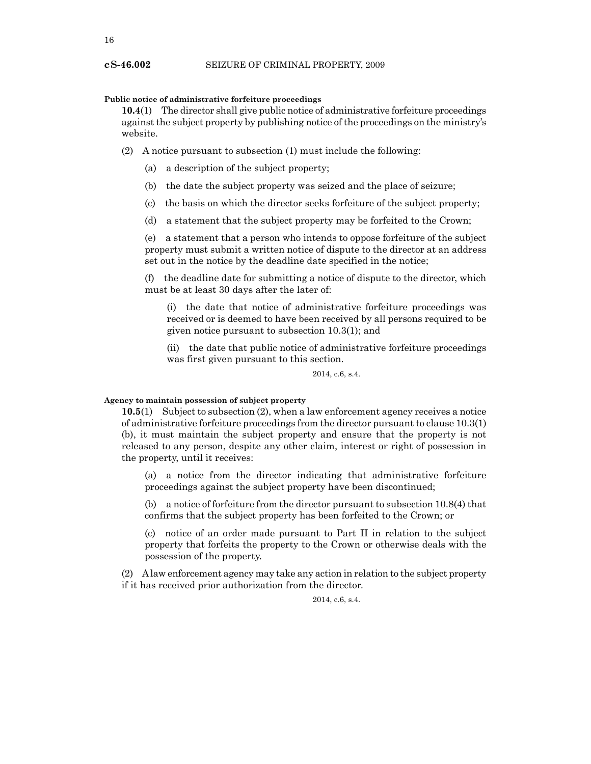# **Public notice of administrative forfeiture proceedings**

**10.4**(1) The director shall give public notice of administrative forfeiture proceedings against the subject property by publishing notice of the proceedings on the ministry's website.

(2) A notice pursuant to subsection (1) must include the following:

- (a) a description of the subject property;
- (b) the date the subject property was seized and the place of seizure;
- (c) the basis on which the director seeks forfeiture of the subject property;
- (d) a statement that the subject property may be forfeited to the Crown;

(e) a statement that a person who intends to oppose forfeiture of the subject property must submit a written notice of dispute to the director at an address set out in the notice by the deadline date specified in the notice;

(f) the deadline date for submitting a notice of dispute to the director, which must be at least 30 days after the later of:

(i) the date that notice of administrative forfeiture proceedings was received or is deemed to have been received by all persons required to be given notice pursuant to subsection 10.3(1); and

(ii) the date that public notice of administrative forfeiture proceedings was first given pursuant to this section.

2014, c.6, s.4.

## **Agency to maintain possession of subject property**

**10.5**(1) Subject to subsection (2), when a law enforcement agency receives a notice of administrative forfeiture proceedings from the director pursuant to clause 10.3(1) (b), it must maintain the subject property and ensure that the property is not released to any person, despite any other claim, interest or right of possession in the property, until it receives:

(a) a notice from the director indicating that administrative forfeiture proceedings against the subject property have been discontinued;

(b) a notice of forfeiture from the director pursuant to subsection 10.8(4) that confirms that the subject property has been forfeited to the Crown; or

(c) notice of an order made pursuant to Part II in relation to the subject property that forfeits the property to the Crown or otherwise deals with the possession of the property.

(2) A law enforcement agency may take any action in relation to the subject property if it has received prior authorization from the director.

2014, c.6, s.4.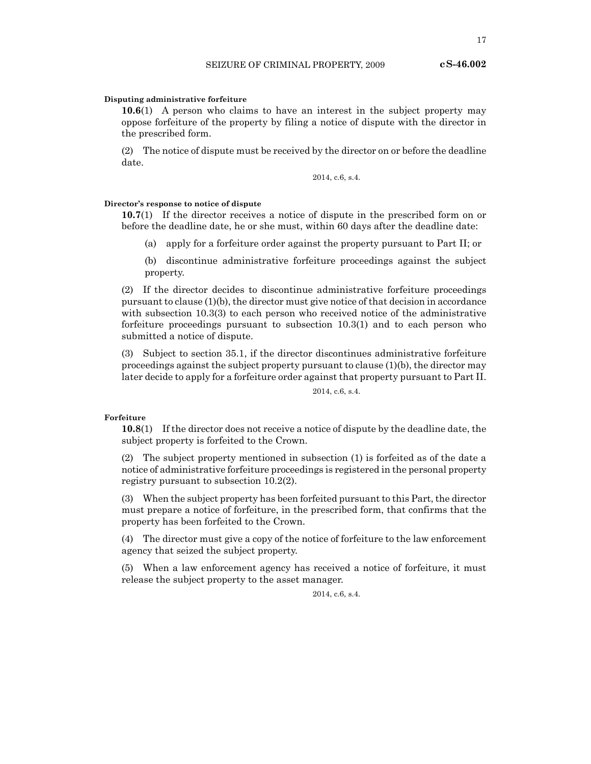# **Disputing administrative forfeiture**

**10.6**(1) A person who claims to have an interest in the subject property may oppose forfeiture of the property by filing a notice of dispute with the director in the prescribed form.

(2) The notice of dispute must be received by the director on or before the deadline date.

2014, c.6, s.4.

# **Director's response to notice of dispute**

**10.7**(1) If the director receives a notice of dispute in the prescribed form on or before the deadline date, he or she must, within 60 days after the deadline date:

(a) apply for a forfeiture order against the property pursuant to Part II; or

(b) discontinue administrative forfeiture proceedings against the subject property.

(2) If the director decides to discontinue administrative forfeiture proceedings pursuant to clause (1)(b), the director must give notice of that decision in accordance with subsection 10.3(3) to each person who received notice of the administrative forfeiture proceedings pursuant to subsection 10.3(1) and to each person who submitted a notice of dispute.

(3) Subject to section 35.1, if the director discontinues administrative forfeiture proceedings against the subject property pursuant to clause (1)(b), the director may later decide to apply for a forfeiture order against that property pursuant to Part II.

2014, c.6, s.4.

# **Forfeiture**

**10.8**(1) If the director does not receive a notice of dispute by the deadline date, the subject property is forfeited to the Crown.

(2) The subject property mentioned in subsection (1) is forfeited as of the date a notice of administrative forfeiture proceedings is registered in the personal property registry pursuant to subsection 10.2(2).

(3) When the subject property has been forfeited pursuant to this Part, the director must prepare a notice of forfeiture, in the prescribed form, that confirms that the property has been forfeited to the Crown.

(4) The director must give a copy of the notice of forfeiture to the law enforcement agency that seized the subject property.

(5) When a law enforcement agency has received a notice of forfeiture, it must release the subject property to the asset manager.

2014, c.6, s.4.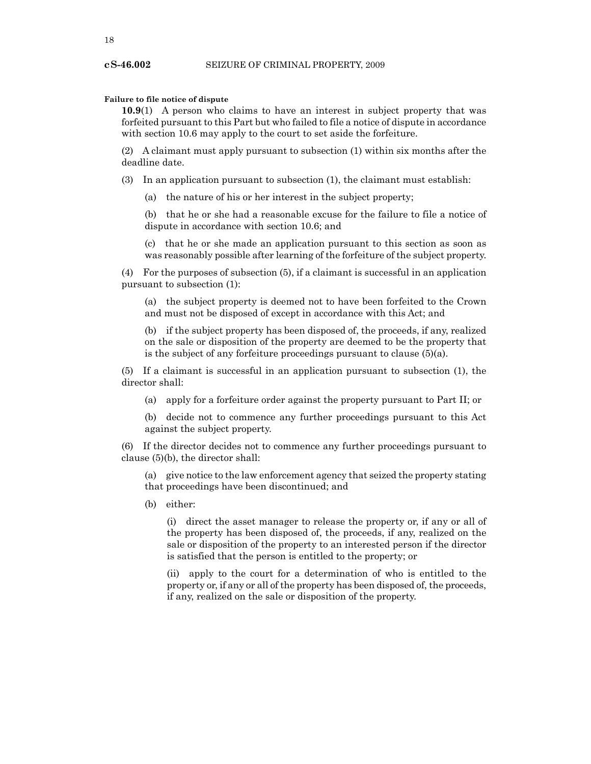# **Failure to file notice of dispute**

**10.9**(1) A person who claims to have an interest in subject property that was forfeited pursuant to this Part but who failed to file a notice of dispute in accordance with section 10.6 may apply to the court to set aside the forfeiture.

(2) A claimant must apply pursuant to subsection (1) within six months after the deadline date.

(3) In an application pursuant to subsection (1), the claimant must establish:

(a) the nature of his or her interest in the subject property;

(b) that he or she had a reasonable excuse for the failure to file a notice of dispute in accordance with section 10.6; and

(c) that he or she made an application pursuant to this section as soon as was reasonably possible after learning of the forfeiture of the subject property.

(4) For the purposes of subsection (5), if a claimant is successful in an application pursuant to subsection (1):

(a) the subject property is deemed not to have been forfeited to the Crown and must not be disposed of except in accordance with this Act; and

(b) if the subject property has been disposed of, the proceeds, if any, realized on the sale or disposition of the property are deemed to be the property that is the subject of any forfeiture proceedings pursuant to clause  $(5)(a)$ .

(5) If a claimant is successful in an application pursuant to subsection (1), the director shall:

(a) apply for a forfeiture order against the property pursuant to Part II; or

(b) decide not to commence any further proceedings pursuant to this Act against the subject property.

(6) If the director decides not to commence any further proceedings pursuant to clause (5)(b), the director shall:

(a) give notice to the law enforcement agency that seized the property stating that proceedings have been discontinued; and

(b) either:

(i) direct the asset manager to release the property or, if any or all of the property has been disposed of, the proceeds, if any, realized on the sale or disposition of the property to an interested person if the director is satisfied that the person is entitled to the property; or

(ii) apply to the court for a determination of who is entitled to the property or, if any or all of the property has been disposed of, the proceeds, if any, realized on the sale or disposition of the property.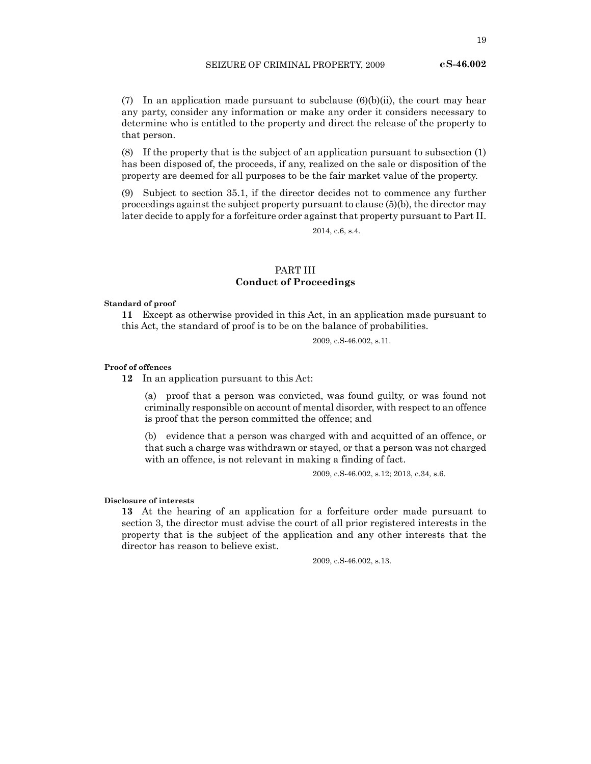(7) In an application made pursuant to subclause  $(6)(b)(ii)$ , the court may hear any party, consider any information or make any order it considers necessary to determine who is entitled to the property and direct the release of the property to that person.

(8) If the property that is the subject of an application pursuant to subsection (1) has been disposed of, the proceeds, if any, realized on the sale or disposition of the property are deemed for all purposes to be the fair market value of the property.

(9) Subject to section 35.1, if the director decides not to commence any further proceedings against the subject property pursuant to clause (5)(b), the director may later decide to apply for a forfeiture order against that property pursuant to Part II.

2014, c.6, s.4.

# PART III **Conduct of Proceedings**

#### **Standard of proof**

**11** Except as otherwise provided in this Act, in an application made pursuant to this Act, the standard of proof is to be on the balance of probabilities.

2009, c.S-46.002, s.11.

# **Proof of offences**

**12** In an application pursuant to this Act:

(a) proof that a person was convicted, was found guilty, or was found not criminally responsible on account of mental disorder, with respect to an offence is proof that the person committed the offence; and

(b) evidence that a person was charged with and acquitted of an offence, or that such a charge was withdrawn or stayed, or that a person was not charged with an offence, is not relevant in making a finding of fact.

2009, c.S-46.002, s.12; 2013, c.34, s.6.

# **Disclosure of interests**

**13** At the hearing of an application for a forfeiture order made pursuant to section 3, the director must advise the court of all prior registered interests in the property that is the subject of the application and any other interests that the director has reason to believe exist.

2009, c.S-46.002, s.13.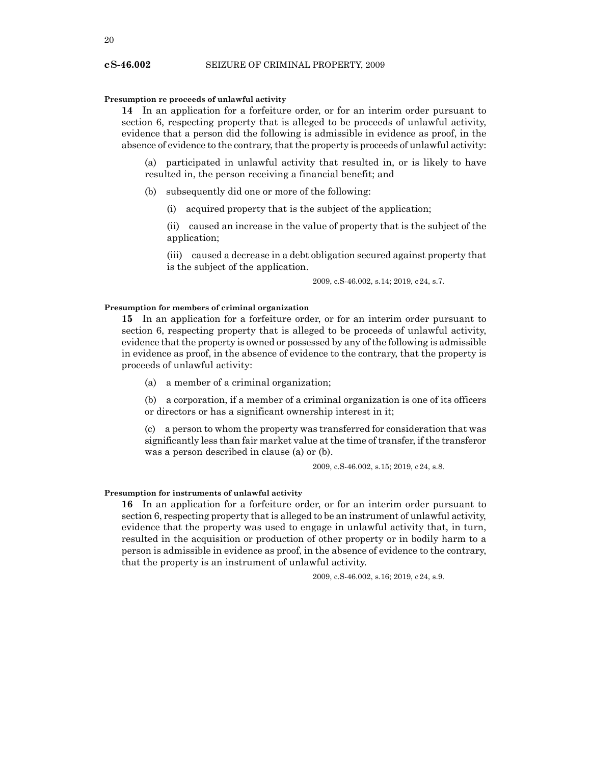# **Presumption re proceeds of unlawful activity**

**14** In an application for a forfeiture order, or for an interim order pursuant to section 6, respecting property that is alleged to be proceeds of unlawful activity, evidence that a person did the following is admissible in evidence as proof, in the absence of evidence to the contrary, that the property is proceeds of unlawful activity:

(a) participated in unlawful activity that resulted in, or is likely to have resulted in, the person receiving a financial benefit; and

- (b) subsequently did one or more of the following:
	- (i) acquired property that is the subject of the application;

(ii) caused an increase in the value of property that is the subject of the application;

(iii) caused a decrease in a debt obligation secured against property that is the subject of the application.

2009, c.S-46.002, s.14; 2019, c24, s.7.

#### **Presumption for members of criminal organization**

**15** In an application for a forfeiture order, or for an interim order pursuant to section 6, respecting property that is alleged to be proceeds of unlawful activity, evidence that the property is owned or possessed by any of the following is admissible in evidence as proof, in the absence of evidence to the contrary, that the property is proceeds of unlawful activity:

(a) a member of a criminal organization;

(b) a corporation, if a member of a criminal organization is one of its officers or directors or has a significant ownership interest in it;

(c) a person to whom the property was transferred for consideration that was significantly less than fair market value at the time of transfer, if the transferor was a person described in clause (a) or (b).

2009, c.S-46.002, s.15; 2019, c24, s.8.

### **Presumption for instruments of unlawful activity**

**16** In an application for a forfeiture order, or for an interim order pursuant to section 6, respecting property that is alleged to be an instrument of unlawful activity, evidence that the property was used to engage in unlawful activity that, in turn, resulted in the acquisition or production of other property or in bodily harm to a person is admissible in evidence as proof, in the absence of evidence to the contrary, that the property is an instrument of unlawful activity.

2009, c.S-46.002, s.16; 2019, c24, s.9.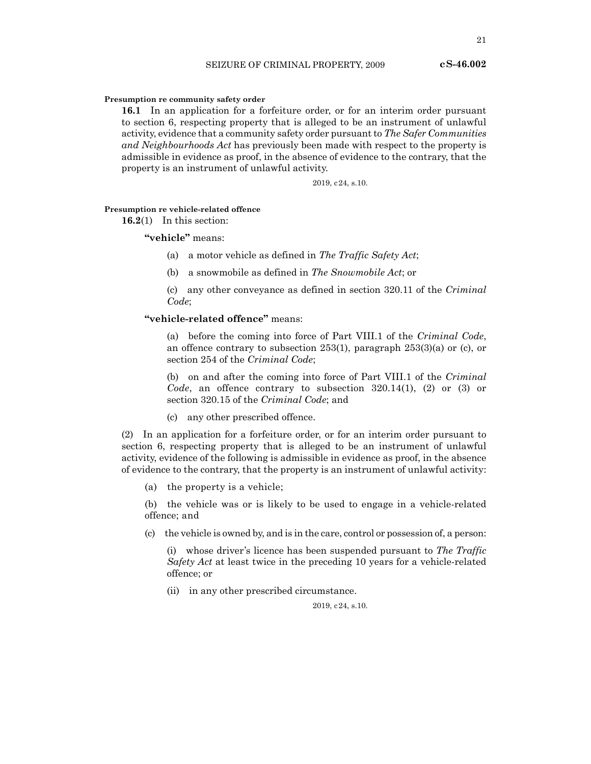# **Presumption re community safety order**

**16.1** In an application for a forfeiture order, or for an interim order pursuant to section 6, respecting property that is alleged to be an instrument of unlawful activity, evidence that a community safety order pursuant to *The Safer Communities and Neighbourhoods Act* has previously been made with respect to the property is admissible in evidence as proof, in the absence of evidence to the contrary, that the property is an instrument of unlawful activity.

2019, c24, s.10.

# **Presumption re vehicle-related offence**

**16.2**(1) In this section:

# **"vehicle"** means:

- (a) a motor vehicle as defined in *The Traffic Safety Act*;
- (b) a snowmobile as defined in *The Snowmobile Act*; or

(c) any other conveyance as defined in section 320.11 of the *Criminal Code*;

# **"vehicle-related offence"** means:

(a) before the coming into force of Part VIII.1 of the *Criminal Code*, an offence contrary to subsection 253(1), paragraph 253(3)(a) or (c), or section 254 of the *Criminal Code*;

(b) on and after the coming into force of Part VIII.1 of the *Criminal Code*, an offence contrary to subsection 320.14(1), (2) or (3) or section 320.15 of the *Criminal Code*; and

(c) any other prescribed offence.

(2) In an application for a forfeiture order, or for an interim order pursuant to section 6, respecting property that is alleged to be an instrument of unlawful activity, evidence of the following is admissible in evidence as proof, in the absence of evidence to the contrary, that the property is an instrument of unlawful activity:

(a) the property is a vehicle;

(b) the vehicle was or is likely to be used to engage in a vehicle-related offence; and

(c) the vehicle is owned by, and is in the care, control or possession of, a person:

(i) whose driver's licence has been suspended pursuant to *The Traffic Safety Act* at least twice in the preceding 10 years for a vehicle-related offence; or

(ii) in any other prescribed circumstance.

2019, c24, s.10.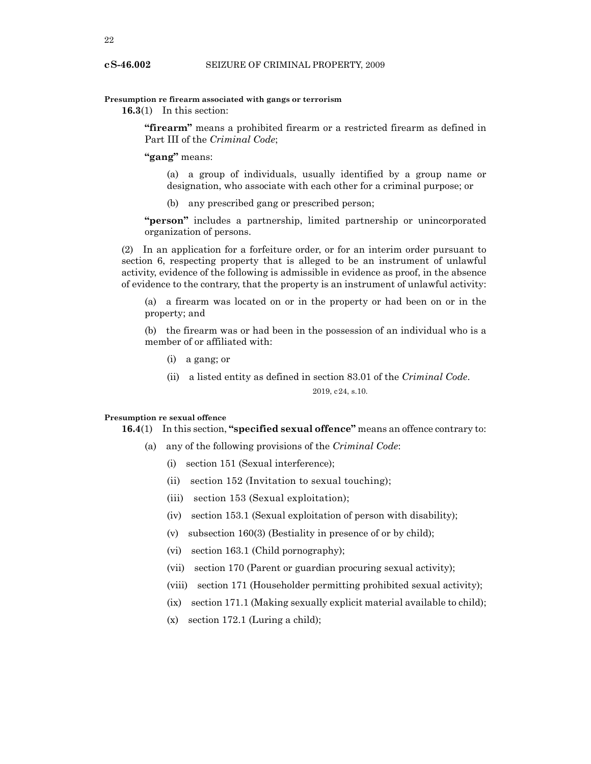# **Presumption re firearm associated with gangs or terrorism**

**16.3**(1) In this section:

**"firearm"** means a prohibited firearm or a restricted firearm as defined in Part III of the *Criminal Code*;

**"gang"** means:

(a) a group of individuals, usually identified by a group name or designation, who associate with each other for a criminal purpose; or

(b) any prescribed gang or prescribed person;

**"person"** includes a partnership, limited partnership or unincorporated organization of persons.

(2) In an application for a forfeiture order, or for an interim order pursuant to section 6, respecting property that is alleged to be an instrument of unlawful activity, evidence of the following is admissible in evidence as proof, in the absence of evidence to the contrary, that the property is an instrument of unlawful activity:

(a) a firearm was located on or in the property or had been on or in the property; and

(b) the firearm was or had been in the possession of an individual who is a member of or affiliated with:

- (i) a gang; or
- (ii) a listed entity as defined in section 83.01 of the *Criminal Code*.

2019, c24, s.10.

#### **Presumption re sexual offence**

**16.4**(1) In this section, **"specified sexual offence"** means an offence contrary to:

- (a) any of the following provisions of the *Criminal Code*:
	- (i) section 151 (Sexual interference);
	- (ii) section 152 (Invitation to sexual touching);
	- (iii) section 153 (Sexual exploitation);
	- (iv) section 153.1 (Sexual exploitation of person with disability);
	- (v) subsection 160(3) (Bestiality in presence of or by child);
	- (vi) section 163.1 (Child pornography);
	- (vii) section 170 (Parent or guardian procuring sexual activity);
	- (viii) section 171 (Householder permitting prohibited sexual activity);
	- (ix) section 171.1 (Making sexually explicit material available to child);
	- (x) section 172.1 (Luring a child);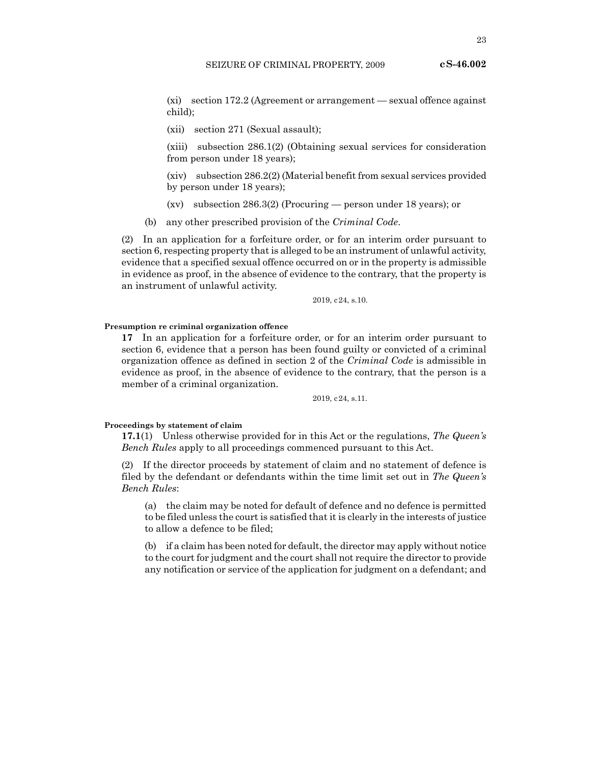(xi) section 172.2 (Agreement or arrangement — sexual offence against child);

(xii) section 271 (Sexual assault);

(xiii) subsection 286.1(2) (Obtaining sexual services for consideration from person under 18 years);

(xiv) subsection 286.2(2) (Material benefit from sexual services provided by person under 18 years);

(xv) subsection 286.3(2) (Procuring — person under 18 years); or

(b) any other prescribed provision of the *Criminal Code*.

(2) In an application for a forfeiture order, or for an interim order pursuant to section 6, respecting property that is alleged to be an instrument of unlawful activity, evidence that a specified sexual offence occurred on or in the property is admissible in evidence as proof, in the absence of evidence to the contrary, that the property is an instrument of unlawful activity.

2019, c24, s.10.

### **Presumption re criminal organization offence**

**17** In an application for a forfeiture order, or for an interim order pursuant to section 6, evidence that a person has been found guilty or convicted of a criminal organization offence as defined in section 2 of the *Criminal Code* is admissible in evidence as proof, in the absence of evidence to the contrary, that the person is a member of a criminal organization.

2019, c24, s.11.

#### **Proceedings by statement of claim**

**17.1**(1) Unless otherwise provided for in this Act or the regulations, *The Queen's Bench Rules* apply to all proceedings commenced pursuant to this Act.

(2) If the director proceeds by statement of claim and no statement of defence is filed by the defendant or defendants within the time limit set out in *The Queen's Bench Rules*:

(a) the claim may be noted for default of defence and no defence is permitted to be filed unless the court is satisfied that it is clearly in the interests of justice to allow a defence to be filed;

(b) if a claim has been noted for default, the director may apply without notice to the court for judgment and the court shall not require the director to provide any notification or service of the application for judgment on a defendant; and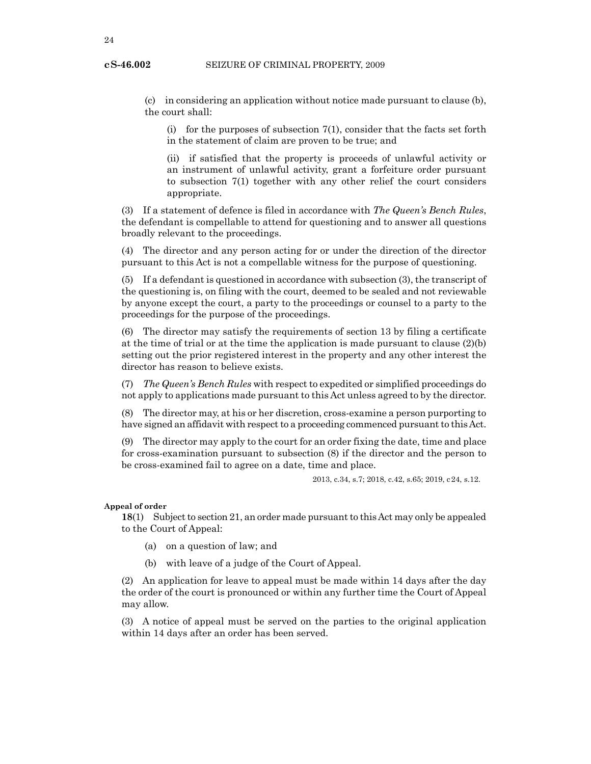(c) in considering an application without notice made pursuant to clause (b), the court shall:

(i) for the purposes of subsection 7(1), consider that the facts set forth in the statement of claim are proven to be true; and

(ii) if satisfied that the property is proceeds of unlawful activity or an instrument of unlawful activity, grant a forfeiture order pursuant to subsection 7(1) together with any other relief the court considers appropriate.

(3) If a statement of defence is filed in accordance with *The Queen's Bench Rules*, the defendant is compellable to attend for questioning and to answer all questions broadly relevant to the proceedings.

(4) The director and any person acting for or under the direction of the director pursuant to this Act is not a compellable witness for the purpose of questioning.

(5) If a defendant is questioned in accordance with subsection (3), the transcript of the questioning is, on filing with the court, deemed to be sealed and not reviewable by anyone except the court, a party to the proceedings or counsel to a party to the proceedings for the purpose of the proceedings.

(6) The director may satisfy the requirements of section 13 by filing a certificate at the time of trial or at the time the application is made pursuant to clause  $(2)(b)$ setting out the prior registered interest in the property and any other interest the director has reason to believe exists.

(7) *The Queen's Bench Rules* with respect to expedited or simplified proceedings do not apply to applications made pursuant to this Act unless agreed to by the director.

(8) The director may, at his or her discretion, cross-examine a person purporting to have signed an affidavit with respect to a proceeding commenced pursuant to this Act.

(9) The director may apply to the court for an order fixing the date, time and place for cross-examination pursuant to subsection (8) if the director and the person to be cross-examined fail to agree on a date, time and place.

2013, c.34, s.7; 2018, c.42, s.65; 2019, c24, s.12.

### **Appeal of order**

**18**(1) Subject to section 21, an order made pursuant to this Act may only be appealed to the Court of Appeal:

- (a) on a question of law; and
- (b) with leave of a judge of the Court of Appeal.

(2) An application for leave to appeal must be made within 14 days after the day the order of the court is pronounced or within any further time the Court of Appeal may allow.

(3) A notice of appeal must be served on the parties to the original application within 14 days after an order has been served.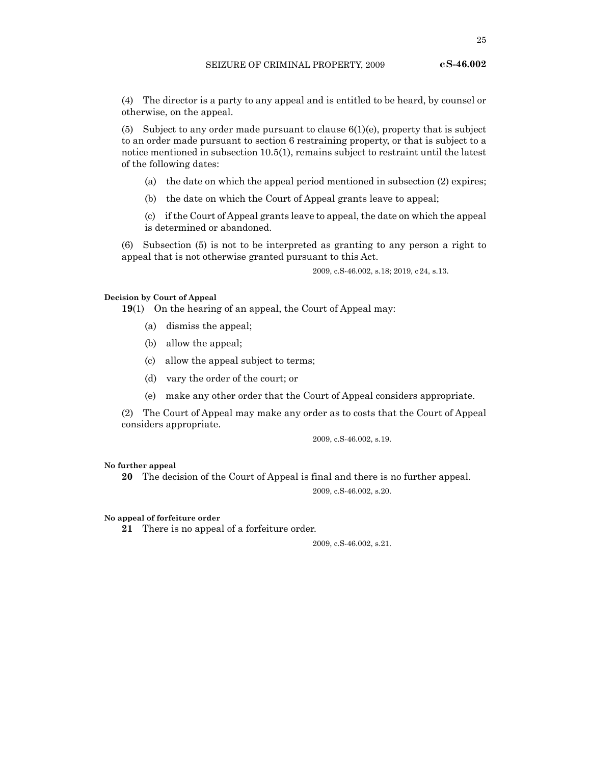(4) The director is a party to any appeal and is entitled to be heard, by counsel or otherwise, on the appeal.

(5) Subject to any order made pursuant to clause  $6(1)(e)$ , property that is subject to an order made pursuant to section 6 restraining property, or that is subject to a notice mentioned in subsection 10.5(1), remains subject to restraint until the latest of the following dates:

- (a) the date on which the appeal period mentioned in subsection (2) expires;
- (b) the date on which the Court of Appeal grants leave to appeal;
- (c) if the Court of Appeal grants leave to appeal, the date on which the appeal is determined or abandoned.

(6) Subsection (5) is not to be interpreted as granting to any person a right to appeal that is not otherwise granted pursuant to this Act.

2009, c.S-46.002, s.18; 2019, c24, s.13.

#### **Decision by Court of Appeal**

**19**(1) On the hearing of an appeal, the Court of Appeal may:

- (a) dismiss the appeal;
- (b) allow the appeal;
- (c) allow the appeal subject to terms;
- (d) vary the order of the court; or
- (e) make any other order that the Court of Appeal considers appropriate.

(2) The Court of Appeal may make any order as to costs that the Court of Appeal considers appropriate.

2009, c.S-46.002, s.19.

#### **No further appeal**

**20** The decision of the Court of Appeal is final and there is no further appeal.

2009, c.S-46.002, s.20.

#### **No appeal of forfeiture order**

**21** There is no appeal of a forfeiture order.

2009, c.S-46.002, s.21.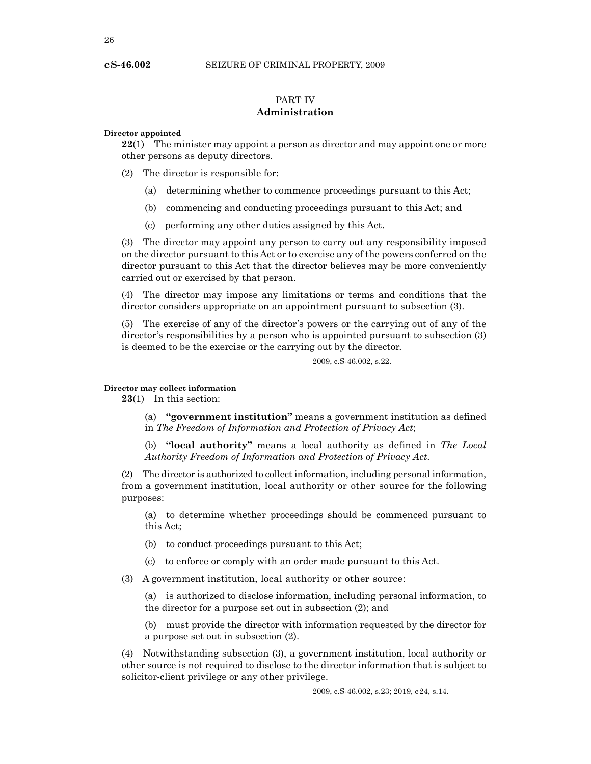# PART IV **Administration**

# **Director appointed**

**22**(1) The minister may appoint a person as director and may appoint one or more other persons as deputy directors.

- (2) The director is responsible for:
	- (a) determining whether to commence proceedings pursuant to this Act;
	- (b) commencing and conducting proceedings pursuant to this Act; and
	- (c) performing any other duties assigned by this Act.

(3) The director may appoint any person to carry out any responsibility imposed on the director pursuant to this Act or to exercise any of the powers conferred on the director pursuant to this Act that the director believes may be more conveniently carried out or exercised by that person.

(4) The director may impose any limitations or terms and conditions that the director considers appropriate on an appointment pursuant to subsection (3).

(5) The exercise of any of the director's powers or the carrying out of any of the director's responsibilities by a person who is appointed pursuant to subsection (3) is deemed to be the exercise or the carrying out by the director.

2009, c.S-46.002, s.22.

# **Director may collect information**

**23**(1) In this section:

(a) **"government institution"** means a government institution as defined in *The Freedom of Information and Protection of Privacy Act*;

(b) **"local authority"** means a local authority as defined in *The Local Authority Freedom of Information and Protection of Privacy Act*.

(2) The director is authorized to collect information, including personal information, from a government institution, local authority or other source for the following purposes:

(a) to determine whether proceedings should be commenced pursuant to this Act;

- (b) to conduct proceedings pursuant to this Act;
- (c) to enforce or comply with an order made pursuant to this Act.
- (3) A government institution, local authority or other source:

(a) is authorized to disclose information, including personal information, to the director for a purpose set out in subsection (2); and

(b) must provide the director with information requested by the director for a purpose set out in subsection (2).

(4) Notwithstanding subsection (3), a government institution, local authority or other source is not required to disclose to the director information that is subject to solicitor-client privilege or any other privilege.

2009, c.S-46.002, s.23; 2019, c24, s.14.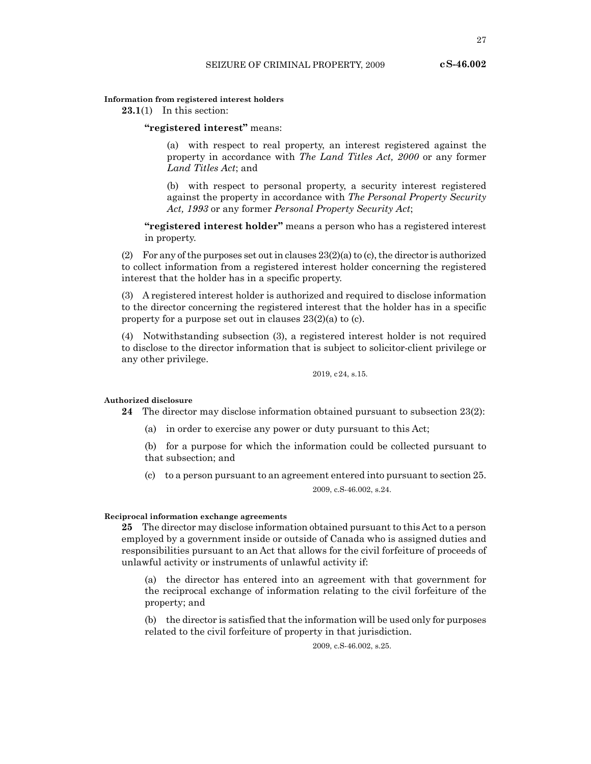27

# **Information from registered interest holders**

**23.1**(1) In this section:

**"registered interest"** means:

(a) with respect to real property, an interest registered against the property in accordance with *The Land Titles Act, 2000* or any former *Land Titles Act*; and

(b) with respect to personal property, a security interest registered against the property in accordance with *The Personal Property Security Act, 1993* or any former *Personal Property Security Act*;

**"registered interest holder"** means a person who has a registered interest in property.

(2) For any of the purposes set out in clauses 23(2)(a) to (c), the director is authorized to collect information from a registered interest holder concerning the registered interest that the holder has in a specific property.

(3) A registered interest holder is authorized and required to disclose information to the director concerning the registered interest that the holder has in a specific property for a purpose set out in clauses 23(2)(a) to (c).

(4) Notwithstanding subsection (3), a registered interest holder is not required to disclose to the director information that is subject to solicitor-client privilege or any other privilege.

2019, c24, s.15.

#### **Authorized disclosure**

**24** The director may disclose information obtained pursuant to subsection 23(2):

(a) in order to exercise any power or duty pursuant to this Act;

(b) for a purpose for which the information could be collected pursuant to that subsection; and

(c) to a person pursuant to an agreement entered into pursuant to section 25. 2009, c.S-46.002, s.24.

#### **Reciprocal information exchange agreements**

**25** The director may disclose information obtained pursuant to this Act to a person employed by a government inside or outside of Canada who is assigned duties and responsibilities pursuant to an Act that allows for the civil forfeiture of proceeds of unlawful activity or instruments of unlawful activity if:

(a) the director has entered into an agreement with that government for the reciprocal exchange of information relating to the civil forfeiture of the property; and

(b) the director is satisfied that the information will be used only for purposes related to the civil forfeiture of property in that jurisdiction.

2009, c.S-46.002, s.25.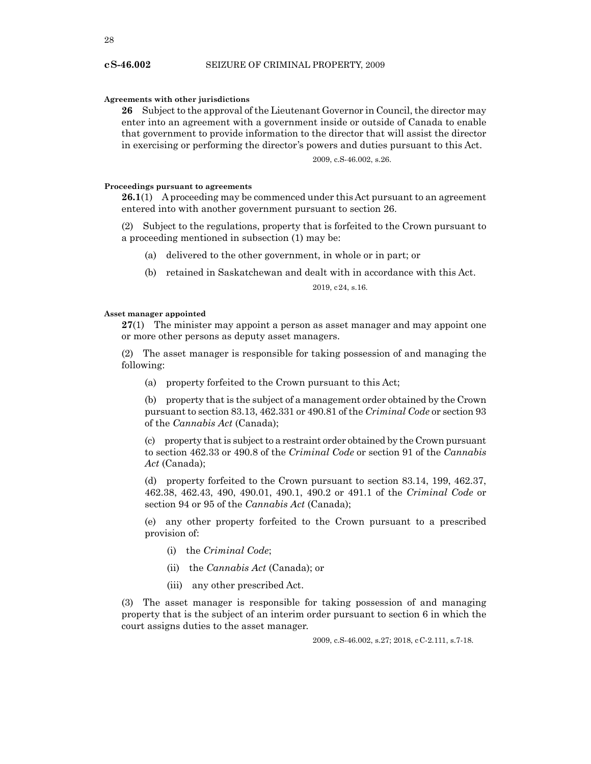### **Agreements with other jurisdictions**

**26** Subject to the approval of the Lieutenant Governor in Council, the director may enter into an agreement with a government inside or outside of Canada to enable that government to provide information to the director that will assist the director in exercising or performing the director's powers and duties pursuant to this Act.

2009, c.S-46.002, s.26.

### **Proceedings pursuant to agreements**

**26.1**(1) A proceeding may be commenced under this Act pursuant to an agreement entered into with another government pursuant to section 26.

(2) Subject to the regulations, property that is forfeited to the Crown pursuant to a proceeding mentioned in subsection (1) may be:

- (a) delivered to the other government, in whole or in part; or
- (b) retained in Saskatchewan and dealt with in accordance with this Act.

2019, c24, s.16.

# **Asset manager appointed**

**27**(1) The minister may appoint a person as asset manager and may appoint one or more other persons as deputy asset managers.

(2) The asset manager is responsible for taking possession of and managing the following:

(a) property forfeited to the Crown pursuant to this Act;

(b) property that is the subject of a management order obtained by the Crown pursuant to section 83.13, 462.331 or 490.81 of the *Criminal Code* or section 93 of the *Cannabis Act* (Canada);

(c) property that is subject to a restraint order obtained by the Crown pursuant to section 462.33 or 490.8 of the *Criminal Code* or section 91 of the *Cannabis Act* (Canada);

(d) property forfeited to the Crown pursuant to section 83.14, 199, 462.37, 462.38, 462.43, 490, 490.01, 490.1, 490.2 or 491.1 of the *Criminal Code* or section 94 or 95 of the *Cannabis Act* (Canada);

(e) any other property forfeited to the Crown pursuant to a prescribed provision of:

- (i) the *Criminal Code*;
- (ii) the *Cannabis Act* (Canada); or
- (iii) any other prescribed Act.

(3) The asset manager is responsible for taking possession of and managing property that is the subject of an interim order pursuant to section 6 in which the court assigns duties to the asset manager.

2009, c.S-46.002, s.27; 2018, cC-2.111, s.7-18.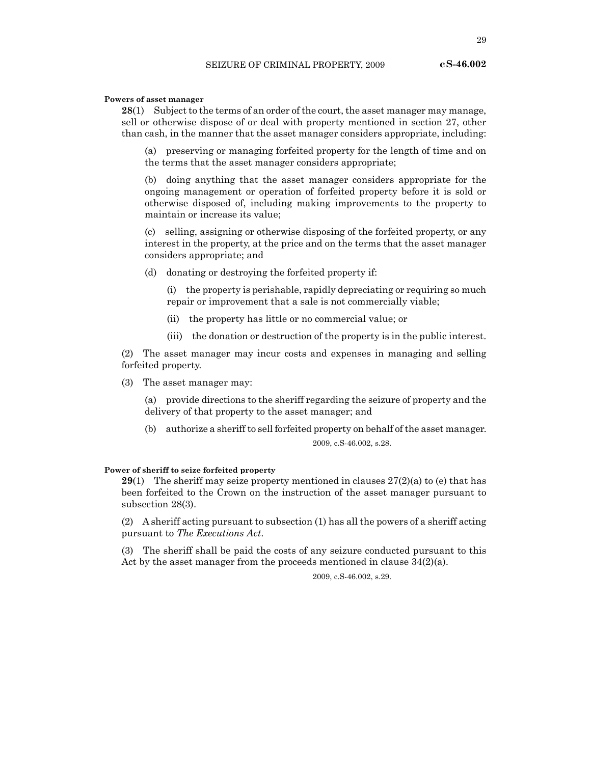### **Powers of asset manager**

**28**(1) Subject to the terms of an order of the court, the asset manager may manage, sell or otherwise dispose of or deal with property mentioned in section 27, other than cash, in the manner that the asset manager considers appropriate, including:

(a) preserving or managing forfeited property for the length of time and on the terms that the asset manager considers appropriate;

(b) doing anything that the asset manager considers appropriate for the ongoing management or operation of forfeited property before it is sold or otherwise disposed of, including making improvements to the property to maintain or increase its value;

(c) selling, assigning or otherwise disposing of the forfeited property, or any interest in the property, at the price and on the terms that the asset manager considers appropriate; and

(d) donating or destroying the forfeited property if:

(i) the property is perishable, rapidly depreciating or requiring so much repair or improvement that a sale is not commercially viable;

- (ii) the property has little or no commercial value; or
- (iii) the donation or destruction of the property is in the public interest.

(2) The asset manager may incur costs and expenses in managing and selling forfeited property.

(3) The asset manager may:

(a) provide directions to the sheriff regarding the seizure of property and the delivery of that property to the asset manager; and

(b) authorize a sheriff to sell forfeited property on behalf of the asset manager.

2009, c.S-46.002, s.28.

### **Power of sheriff to seize forfeited property**

**29**(1) The sheriff may seize property mentioned in clauses 27(2)(a) to (e) that has been forfeited to the Crown on the instruction of the asset manager pursuant to subsection 28(3).

(2) A sheriff acting pursuant to subsection (1) has all the powers of a sheriff acting pursuant to *The Executions Act*.

(3) The sheriff shall be paid the costs of any seizure conducted pursuant to this Act by the asset manager from the proceeds mentioned in clause 34(2)(a).

2009, c.S-46.002, s.29.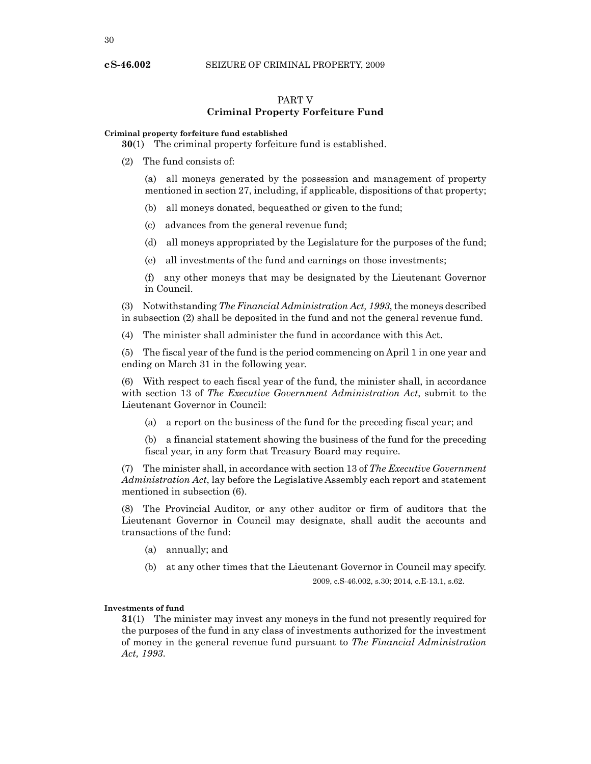# PART V **Criminal Property Forfeiture Fund**

# **Criminal property forfeiture fund established**

**30**(1) The criminal property forfeiture fund is established.

(2) The fund consists of:

(a) all moneys generated by the possession and management of property mentioned in section 27, including, if applicable, dispositions of that property;

(b) all moneys donated, bequeathed or given to the fund;

- (c) advances from the general revenue fund;
- (d) all moneys appropriated by the Legislature for the purposes of the fund;
- (e) all investments of the fund and earnings on those investments;

(f) any other moneys that may be designated by the Lieutenant Governor in Council.

(3) Notwithstanding *The Financial Administration Act, 1993*, the moneys described in subsection (2) shall be deposited in the fund and not the general revenue fund.

The minister shall administer the fund in accordance with this Act.

(5) The fiscal year of the fund is the period commencing on April 1 in one year and ending on March 31 in the following year.

(6) With respect to each fiscal year of the fund, the minister shall, in accordance with section 13 of *The Executive Government Administration Act*, submit to the Lieutenant Governor in Council:

- (a) a report on the business of the fund for the preceding fiscal year; and
- (b) a financial statement showing the business of the fund for the preceding fiscal year, in any form that Treasury Board may require.

(7) The minister shall, in accordance with section 13 of *The Executive Government Administration Act*, lay before the Legislative Assembly each report and statement mentioned in subsection (6).

(8) The Provincial Auditor, or any other auditor or firm of auditors that the Lieutenant Governor in Council may designate, shall audit the accounts and transactions of the fund:

- (a) annually; and
- (b) at any other times that the Lieutenant Governor in Council may specify.

2009, c.S-46.002, s.30; 2014, c.E-13.1, s.62.

#### **Investments of fund**

**31**(1) The minister may invest any moneys in the fund not presently required for the purposes of the fund in any class of investments authorized for the investment of money in the general revenue fund pursuant to *The Financial Administration Act, 1993*.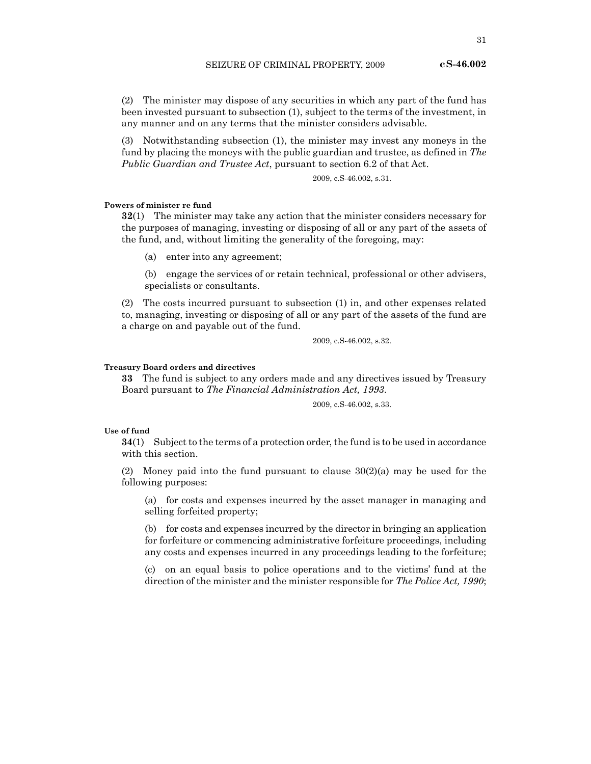(2) The minister may dispose of any securities in which any part of the fund has been invested pursuant to subsection (1), subject to the terms of the investment, in any manner and on any terms that the minister considers advisable.

(3) Notwithstanding subsection (1), the minister may invest any moneys in the fund by placing the moneys with the public guardian and trustee, as defined in *The Public Guardian and Trustee Act*, pursuant to section 6.2 of that Act.

2009, c.S-46.002, s.31.

# **Powers of minister re fund**

**32**(1) The minister may take any action that the minister considers necessary for the purposes of managing, investing or disposing of all or any part of the assets of the fund, and, without limiting the generality of the foregoing, may:

(a) enter into any agreement;

(b) engage the services of or retain technical, professional or other advisers, specialists or consultants.

(2) The costs incurred pursuant to subsection (1) in, and other expenses related to, managing, investing or disposing of all or any part of the assets of the fund are a charge on and payable out of the fund.

2009, c.S-46.002, s.32.

# **Treasury Board orders and directives**

**33** The fund is subject to any orders made and any directives issued by Treasury Board pursuant to *The Financial Administration Act, 1993*.

2009, c.S-46.002, s.33.

# **Use of fund**

**34**(1) Subject to the terms of a protection order, the fund is to be used in accordance with this section.

(2) Money paid into the fund pursuant to clause  $30(2)(a)$  may be used for the following purposes:

(a) for costs and expenses incurred by the asset manager in managing and selling forfeited property;

(b) for costs and expenses incurred by the director in bringing an application for forfeiture or commencing administrative forfeiture proceedings, including any costs and expenses incurred in any proceedings leading to the forfeiture;

(c) on an equal basis to police operations and to the victims' fund at the direction of the minister and the minister responsible for *The Police Act, 1990*;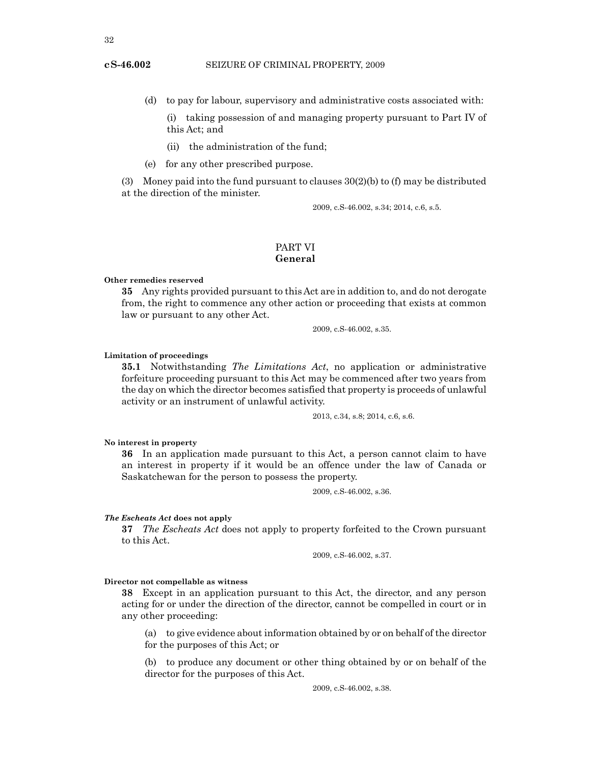- (d) to pay for labour, supervisory and administrative costs associated with:
	- (i) taking possession of and managing property pursuant to Part IV of this Act; and
	- (ii) the administration of the fund;
- (e) for any other prescribed purpose.

(3) Money paid into the fund pursuant to clauses  $30(2)(b)$  to (f) may be distributed at the direction of the minister.

2009, c.S-46.002, s.34; 2014, c.6, s.5.

# PART VI **General**

# **Other remedies reserved**

**35** Any rights provided pursuant to this Act are in addition to, and do not derogate from, the right to commence any other action or proceeding that exists at common law or pursuant to any other Act.

2009, c.S-46.002, s.35.

#### **Limitation of proceedings**

**35.1** Notwithstanding *The Limitations Act*, no application or administrative forfeiture proceeding pursuant to this Act may be commenced after two years from the day on which the director becomes satisfied that property is proceeds of unlawful activity or an instrument of unlawful activity.

2013, c.34, s.8; 2014, c.6, s.6.

# **No interest in property**

**36** In an application made pursuant to this Act, a person cannot claim to have an interest in property if it would be an offence under the law of Canada or Saskatchewan for the person to possess the property.

2009, c.S-46.002, s.36.

## *The Escheats Act* **does not apply**

**37** *The Escheats Act* does not apply to property forfeited to the Crown pursuant to this Act.

2009, c.S-46.002, s.37.

# **Director not compellable as witness**

**38** Except in an application pursuant to this Act, the director, and any person acting for or under the direction of the director, cannot be compelled in court or in any other proceeding:

(a) to give evidence about information obtained by or on behalf of the director for the purposes of this Act; or

(b) to produce any document or other thing obtained by or on behalf of the director for the purposes of this Act.

2009, c.S-46.002, s.38.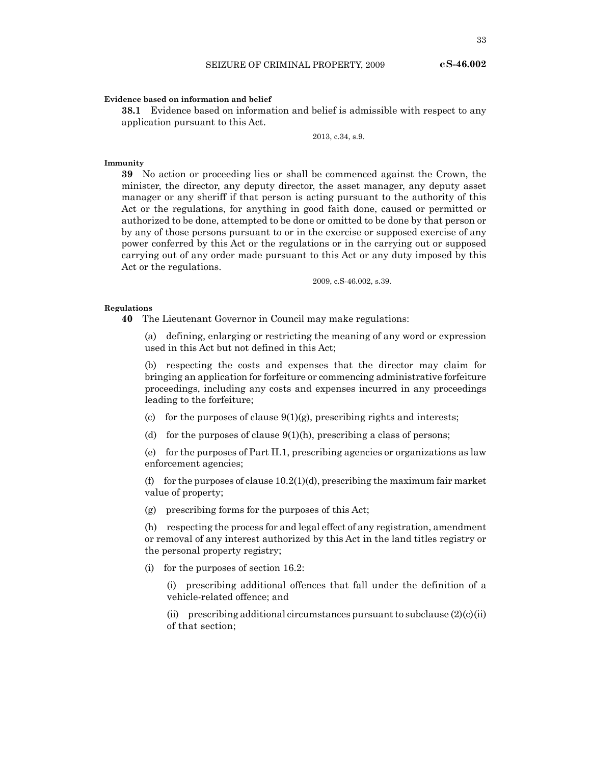#### **Evidence based on information and belief**

**38.1** Evidence based on information and belief is admissible with respect to any application pursuant to this Act.

2013, c.34, s.9.

# **Immunity**

**39** No action or proceeding lies or shall be commenced against the Crown, the minister, the director, any deputy director, the asset manager, any deputy asset manager or any sheriff if that person is acting pursuant to the authority of this Act or the regulations, for anything in good faith done, caused or permitted or authorized to be done, attempted to be done or omitted to be done by that person or by any of those persons pursuant to or in the exercise or supposed exercise of any power conferred by this Act or the regulations or in the carrying out or supposed carrying out of any order made pursuant to this Act or any duty imposed by this Act or the regulations.

2009, c.S-46.002, s.39.

# **Regulations**

**40** The Lieutenant Governor in Council may make regulations:

(a) defining, enlarging or restricting the meaning of any word or expression used in this Act but not defined in this Act;

(b) respecting the costs and expenses that the director may claim for bringing an application for forfeiture or commencing administrative forfeiture proceedings, including any costs and expenses incurred in any proceedings leading to the forfeiture;

- (c) for the purposes of clause  $9(1)(g)$ , prescribing rights and interests;
- (d) for the purposes of clause  $9(1)(h)$ , prescribing a class of persons;

(e) for the purposes of Part II.1, prescribing agencies or organizations as law enforcement agencies;

(f) for the purposes of clause  $10.2(1)(d)$ , prescribing the maximum fair market value of property;

(g) prescribing forms for the purposes of this Act;

(h) respecting the process for and legal effect of any registration, amendment or removal of any interest authorized by this Act in the land titles registry or the personal property registry;

(i) for the purposes of section 16.2:

(i) prescribing additional offences that fall under the definition of a vehicle-related offence; and

(ii) prescribing additional circumstances pursuant to subclause  $(2)(c)(ii)$ of that section;